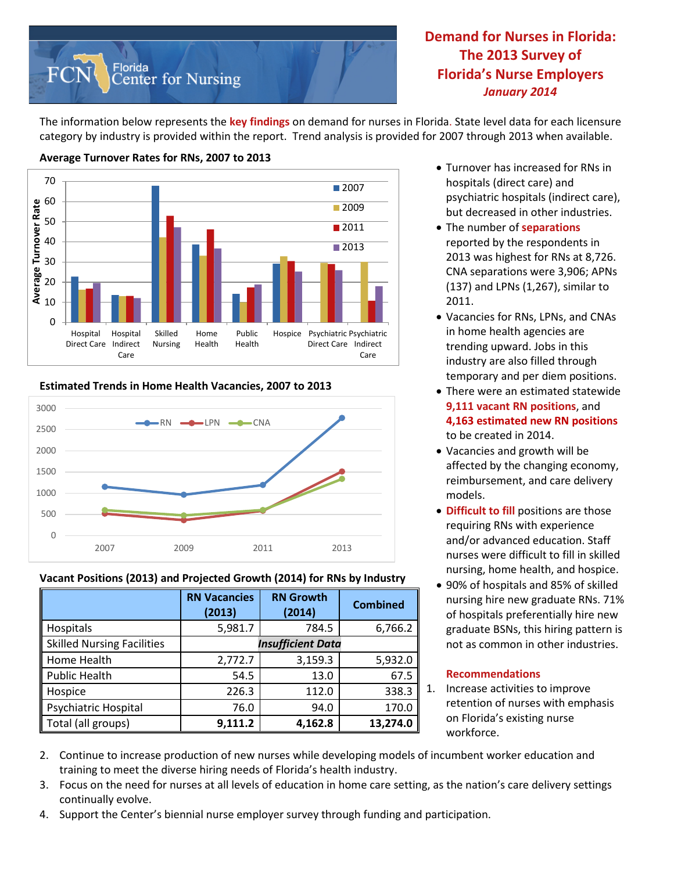

**Demand for Nurses in Florida: The 2013 Survey of Florida's Nurse Employers** *January 2014*

The information below represents the **key findings** on demand for nurses in Florida. State level data for each licensure category by industry is provided within the report. Trend analysis is provided for 2007 through 2013 when available.



## **Average Turnover Rates for RNs, 2007 to 2013**

#### **Estimated Trends in Home Health Vacancies, 2007 to 2013**



#### **Vacant Positions (2013) and Projected Growth (2014) for RNs by Industry**

|                                   | <b>RN Vacancies</b><br>(2013) | <b>RN Growth</b><br>(2014) | <b>Combined</b> |  |  |
|-----------------------------------|-------------------------------|----------------------------|-----------------|--|--|
| Hospitals                         | 5,981.7                       | 784.5                      | 6,766.2         |  |  |
| <b>Skilled Nursing Facilities</b> | <b>Insufficient Data</b>      |                            |                 |  |  |
| Home Health                       | 2,772.7                       | 3,159.3                    | 5,932.0         |  |  |
| <b>Public Health</b>              | 54.5                          | 13.0                       | 67.5            |  |  |
| Hospice                           | 226.3                         | 112.0                      | 338.3           |  |  |
| Psychiatric Hospital              | 76.0                          | 94.0                       | 170.0           |  |  |
| Total (all groups)                | 9,111.2                       | 4,162.8                    | 13,274.0        |  |  |

- Turnover has increased for RNs in hospitals (direct care) and psychiatric hospitals (indirect care), but decreased in other industries.
- The number of **separations** reported by the respondents in 2013 was highest for RNs at 8,726. CNA separations were 3,906; APNs (137) and LPNs (1,267), similar to 2011.
- Vacancies for RNs, LPNs, and CNAs in home health agencies are trending upward. Jobs in this industry are also filled through temporary and per diem positions.
- There were an estimated statewide **9,111 vacant RN positions**, and **4,163 estimated new RN positions** to be created in 2014.
- Vacancies and growth will be affected by the changing economy, reimbursement, and care delivery models.
- **Difficult to fill** positions are those requiring RNs with experience and/or advanced education. Staff nurses were difficult to fill in skilled nursing, home health, and hospice.
- 90% of hospitals and 85% of skilled nursing hire new graduate RNs. 71% of hospitals preferentially hire new graduate BSNs, this hiring pattern is not as common in other industries.

#### **Recommendations**

- 1. Increase activities to improve retention of nurses with emphasis on Florida's existing nurse workforce.
- 2. Continue to increase production of new nurses while developing models of incumbent worker education and training to meet the diverse hiring needs of Florida's health industry.
- 3. Focus on the need for nurses at all levels of education in home care setting, as the nation's care delivery settings continually evolve.
- 4. Support the Center's biennial nurse employer survey through funding and participation.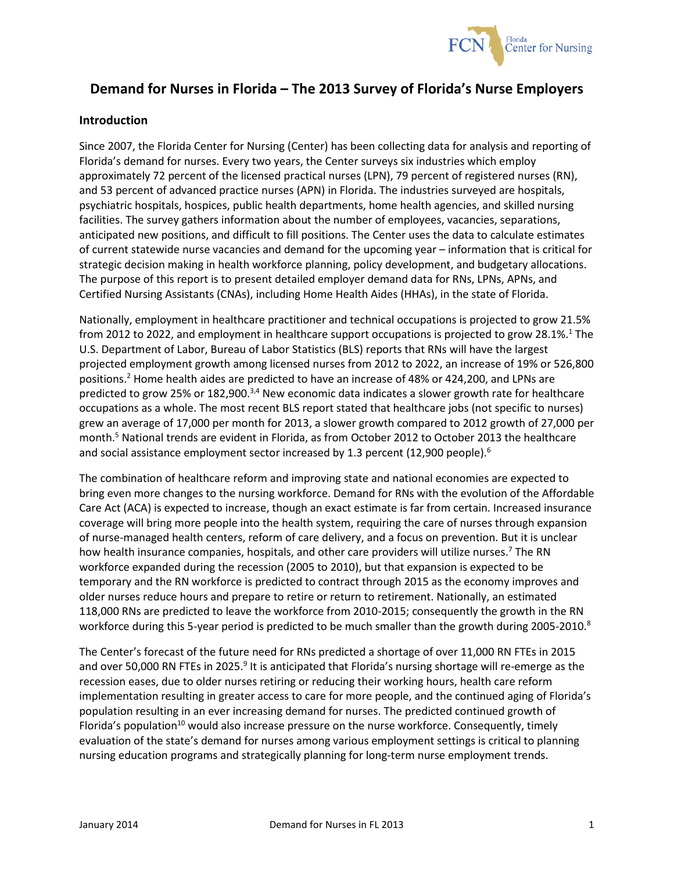

# **Demand for Nurses in Florida – The 2013 Survey of Florida's Nurse Employers**

## **Introduction**

Since 2007, the Florida Center for Nursing (Center) has been collecting data for analysis and reporting of Florida's demand for nurses. Every two years, the Center surveys six industries which employ approximately 72 percent of the licensed practical nurses (LPN), 79 percent of registered nurses (RN), and 53 percent of advanced practice nurses (APN) in Florida. The industries surveyed are hospitals, psychiatric hospitals, hospices, public health departments, home health agencies, and skilled nursing facilities. The survey gathers information about the number of employees, vacancies, separations, anticipated new positions, and difficult to fill positions. The Center uses the data to calculate estimates of current statewide nurse vacancies and demand for the upcoming year – information that is critical for strategic decision making in health workforce planning, policy development, and budgetary allocations. The purpose of this report is to present detailed employer demand data for RNs, LPNs, APNs, and Certified Nursing Assistants (CNAs), including Home Health Aides (HHAs), in the state of Florida.

Nationally, employment in healthcare practitioner and technical occupations is projected to grow 21.5% from 2012 to 2022, and employment in healthcare support occupations is projected to grow 28.1%.<sup>1</sup> The U.S. Department of Labor, Bureau of Labor Statistics (BLS) reports that RNs will have the largest projected employment growth among licensed nurses from 2012 to 2022, an increase of 19% or 526,800 positions. <sup>2</sup> Home health aides are predicted to have an increase of 48% or 424,200, and LPNs are predicted to grow 25% or 182,900.<sup>3,4</sup> New economic data indicates a slower growth rate for healthcare occupations as a whole. The most recent BLS report stated that healthcare jobs (not specific to nurses) grew an average of 17,000 per month for 2013, a slower growth compared to 2012 growth of 27,000 per month.5 National trends are evident in Florida, as from October 2012 to October 2013 the healthcare and social assistance employment sector increased by 1.3 percent (12,900 people).<sup>6</sup>

The combination of healthcare reform and improving state and national economies are expected to bring even more changes to the nursing workforce. Demand for RNs with the evolution of the Affordable Care Act (ACA) is expected to increase, though an exact estimate is far from certain. Increased insurance coverage will bring more people into the health system, requiring the care of nurses through expansion of nurse-managed health centers, reform of care delivery, and a focus on prevention. But it is unclear how health insurance companies, hospitals, and other care providers will utilize nurses.<sup>7</sup> The RN workforce expanded during the recession (2005 to 2010), but that expansion is expected to be temporary and the RN workforce is predicted to contract through 2015 as the economy improves and older nurses reduce hours and prepare to retire or return to retirement. Nationally, an estimated 118,000 RNs are predicted to leave the workforce from 2010-2015; consequently the growth in the RN workforce during this 5-year period is predicted to be much smaller than the growth during 2005-2010.<sup>8</sup>

The Center's forecast of the future need for RNs predicted a shortage of over 11,000 RN FTEs in 2015 and over 50,000 RN FTEs in 2025.<sup>9</sup> It is anticipated that Florida's nursing shortage will re-emerge as the recession eases, due to older nurses retiring or reducing their working hours, health care reform implementation resulting in greater access to care for more people, and the continued aging of Florida's population resulting in an ever increasing demand for nurses. The predicted continued growth of Florida's population<sup>10</sup> would also increase pressure on the nurse workforce. Consequently, timely evaluation of the state's demand for nurses among various employment settings is critical to planning nursing education programs and strategically planning for long-term nurse employment trends.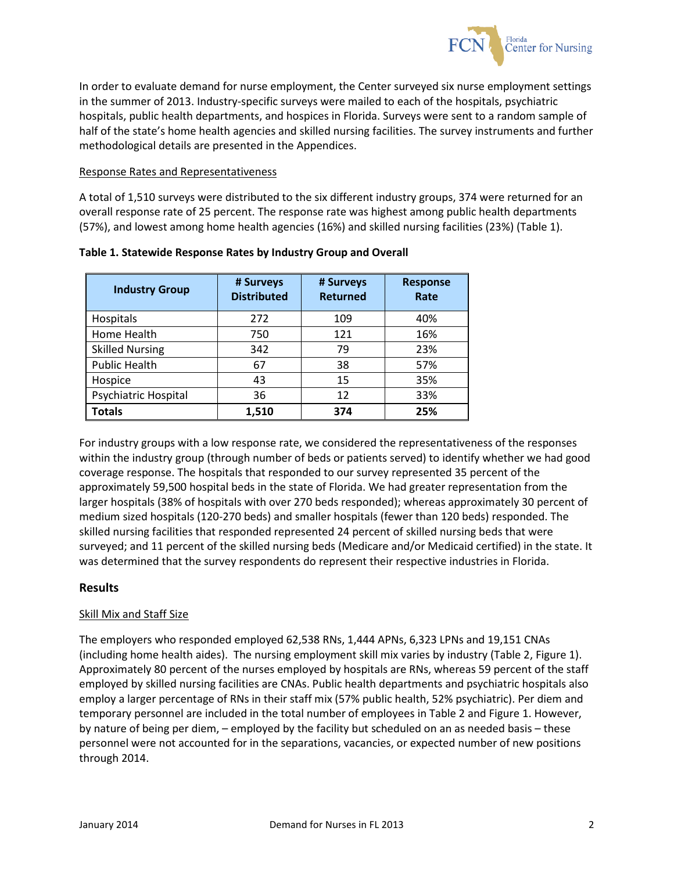

In order to evaluate demand for nurse employment, the Center surveyed six nurse employment settings in the summer of 2013. Industry-specific surveys were mailed to each of the hospitals, psychiatric hospitals, public health departments, and hospices in Florida. Surveys were sent to a random sample of half of the state's home health agencies and skilled nursing facilities. The survey instruments and further methodological details are presented in the Appendices.

#### Response Rates and Representativeness

A total of 1,510 surveys were distributed to the six different industry groups, 374 were returned for an overall response rate of 25 percent. The response rate was highest among public health departments (57%), and lowest among home health agencies (16%) and skilled nursing facilities (23%) (Table 1).

| <b>Industry Group</b>  | # Surveys<br><b>Distributed</b> | # Surveys<br><b>Returned</b> | <b>Response</b><br>Rate |
|------------------------|---------------------------------|------------------------------|-------------------------|
| Hospitals              | 272                             | 109                          | 40%                     |
| Home Health            | 750                             | 121                          | 16%                     |
| <b>Skilled Nursing</b> | 342                             | 79                           | 23%                     |
| <b>Public Health</b>   | 67                              | 38                           | 57%                     |
| Hospice                | 43                              | 15                           | 35%                     |
| Psychiatric Hospital   | 36                              | 12                           | 33%                     |
| Totals                 | 1,510                           | 374                          | 25%                     |

## **Table 1. Statewide Response Rates by Industry Group and Overall**

For industry groups with a low response rate, we considered the representativeness of the responses within the industry group (through number of beds or patients served) to identify whether we had good coverage response. The hospitals that responded to our survey represented 35 percent of the approximately 59,500 hospital beds in the state of Florida. We had greater representation from the larger hospitals (38% of hospitals with over 270 beds responded); whereas approximately 30 percent of medium sized hospitals (120-270 beds) and smaller hospitals (fewer than 120 beds) responded. The skilled nursing facilities that responded represented 24 percent of skilled nursing beds that were surveyed; and 11 percent of the skilled nursing beds (Medicare and/or Medicaid certified) in the state. It was determined that the survey respondents do represent their respective industries in Florida.

## **Results**

## Skill Mix and Staff Size

The employers who responded employed 62,538 RNs, 1,444 APNs, 6,323 LPNs and 19,151 CNAs (including home health aides). The nursing employment skill mix varies by industry (Table 2, Figure 1). Approximately 80 percent of the nurses employed by hospitals are RNs, whereas 59 percent of the staff employed by skilled nursing facilities are CNAs. Public health departments and psychiatric hospitals also employ a larger percentage of RNs in their staff mix (57% public health, 52% psychiatric). Per diem and temporary personnel are included in the total number of employees in Table 2 and Figure 1. However, by nature of being per diem, – employed by the facility but scheduled on an as needed basis – these personnel were not accounted for in the separations, vacancies, or expected number of new positions through 2014.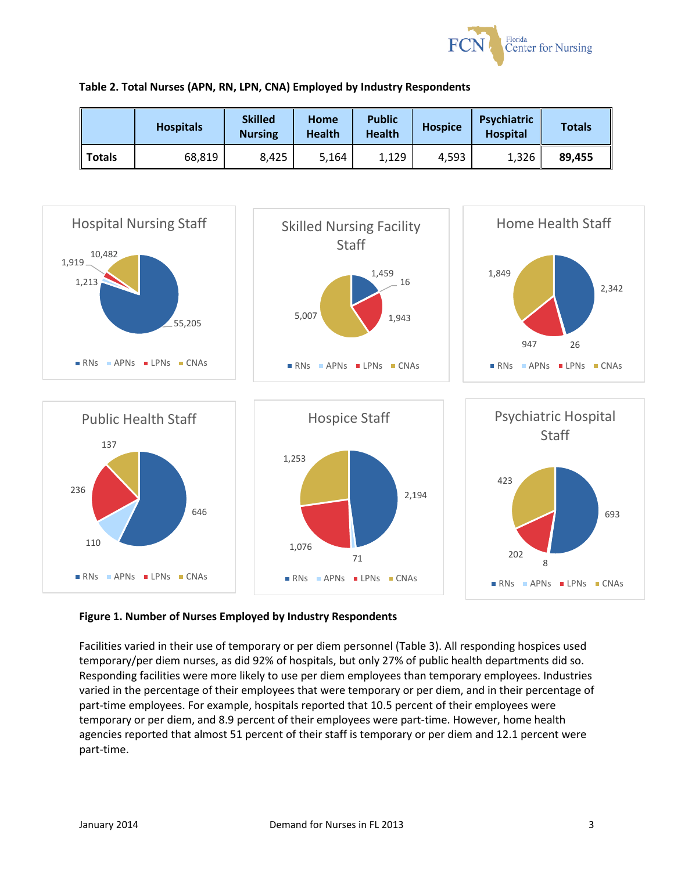

|  |  |  |  |  |  | Table 2. Total Nurses (APN, RN, LPN, CNA) Employed by Industry Respondents |
|--|--|--|--|--|--|----------------------------------------------------------------------------|
|--|--|--|--|--|--|----------------------------------------------------------------------------|

|               | <b>Hospitals</b> | <b>Skilled</b><br><b>Nursing</b> | Home<br><b>Health</b> | <b>Public</b><br><b>Health</b> | <b>Hospice</b> | Psychiatric<br><b>Hospital</b> | <b>Totals</b> |
|---------------|------------------|----------------------------------|-----------------------|--------------------------------|----------------|--------------------------------|---------------|
| <b>Totals</b> | 68,819           | 8,425                            | 5,164                 | 1,129                          | 4.593          | 1,326                          | 89,455        |



## **Figure 1. Number of Nurses Employed by Industry Respondents**

Facilities varied in their use of temporary or per diem personnel (Table 3). All responding hospices used temporary/per diem nurses, as did 92% of hospitals, but only 27% of public health departments did so. Responding facilities were more likely to use per diem employees than temporary employees. Industries varied in the percentage of their employees that were temporary or per diem, and in their percentage of part-time employees. For example, hospitals reported that 10.5 percent of their employees were temporary or per diem, and 8.9 percent of their employees were part-time. However, home health agencies reported that almost 51 percent of their staff is temporary or per diem and 12.1 percent were part-time.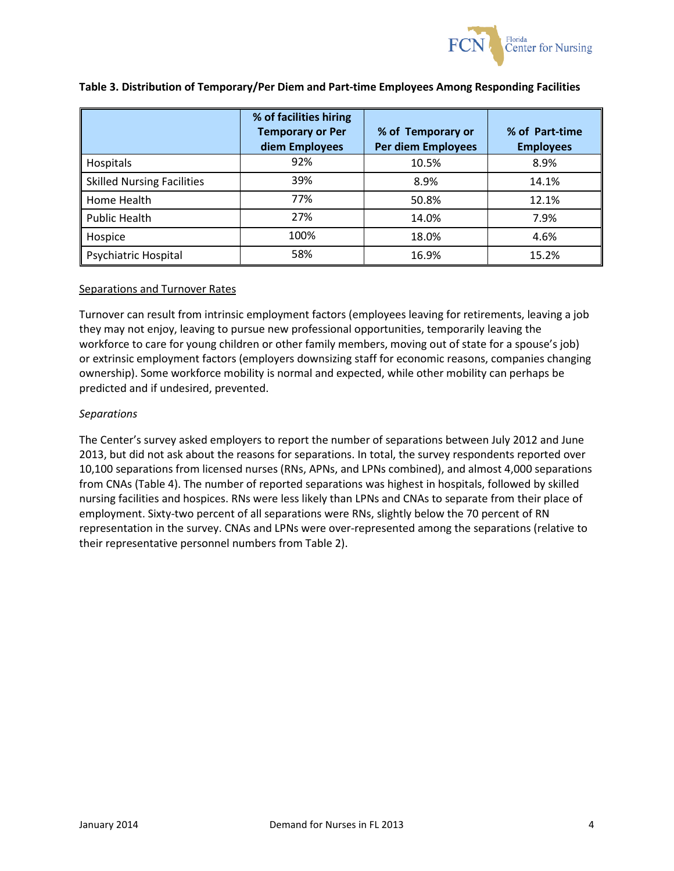

|                                   | % of facilities hiring<br><b>Temporary or Per</b><br>diem Employees | % of Temporary or<br>Per diem Employees | % of Part-time<br><b>Employees</b> |
|-----------------------------------|---------------------------------------------------------------------|-----------------------------------------|------------------------------------|
| Hospitals                         | 92%                                                                 | 10.5%                                   | 8.9%                               |
| <b>Skilled Nursing Facilities</b> | 39%                                                                 | 8.9%                                    | 14.1%                              |
| Home Health                       | 77%                                                                 | 50.8%                                   | 12.1%                              |
| <b>Public Health</b>              | 27%                                                                 | 14.0%                                   | 7.9%                               |
| Hospice                           | 100%                                                                | 18.0%                                   | 4.6%                               |
| Psychiatric Hospital              | 58%                                                                 | 16.9%                                   | 15.2%                              |

#### **Table 3. Distribution of Temporary/Per Diem and Part-time Employees Among Responding Facilities**

#### Separations and Turnover Rates

Turnover can result from intrinsic employment factors (employees leaving for retirements, leaving a job they may not enjoy, leaving to pursue new professional opportunities, temporarily leaving the workforce to care for young children or other family members, moving out of state for a spouse's job) or extrinsic employment factors (employers downsizing staff for economic reasons, companies changing ownership). Some workforce mobility is normal and expected, while other mobility can perhaps be predicted and if undesired, prevented.

#### *Separations*

The Center's survey asked employers to report the number of separations between July 2012 and June 2013, but did not ask about the reasons for separations. In total, the survey respondents reported over 10,100 separations from licensed nurses (RNs, APNs, and LPNs combined), and almost 4,000 separations from CNAs (Table 4). The number of reported separations was highest in hospitals, followed by skilled nursing facilities and hospices. RNs were less likely than LPNs and CNAs to separate from their place of employment. Sixty-two percent of all separations were RNs, slightly below the 70 percent of RN representation in the survey. CNAs and LPNs were over-represented among the separations (relative to their representative personnel numbers from Table 2).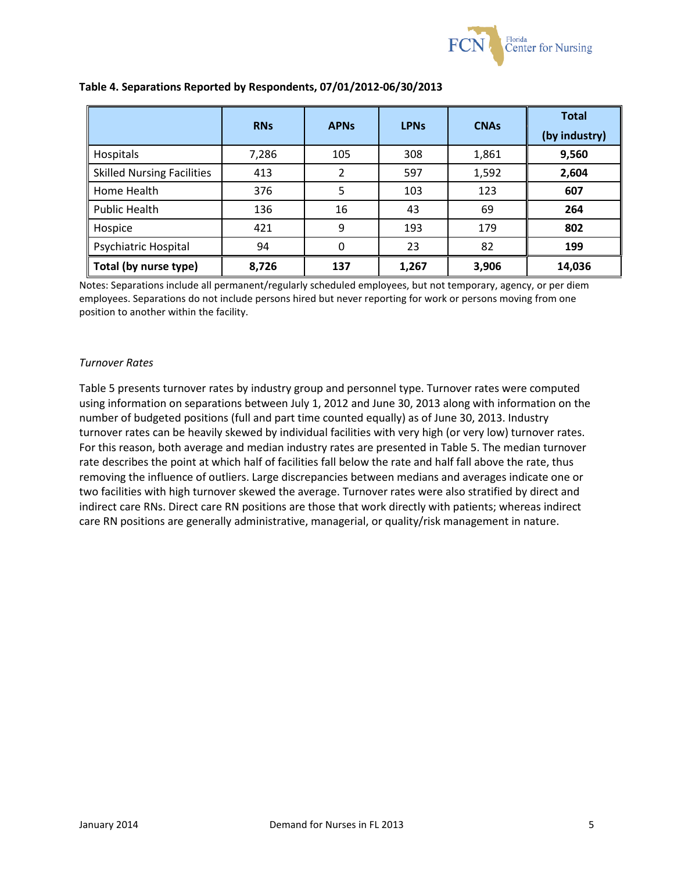

|                                   | <b>RNs</b> | <b>APNs</b> | <b>LPN<sub>s</sub></b> | <b>CNAs</b> | <b>Total</b><br>(by industry) |
|-----------------------------------|------------|-------------|------------------------|-------------|-------------------------------|
| Hospitals                         | 7,286      | 105         | 308                    | 1,861       | 9,560                         |
| <b>Skilled Nursing Facilities</b> | 413        | 2           | 597                    | 1,592       | 2,604                         |
| Home Health                       | 376        | 5           | 103                    | 123         | 607                           |
| <b>Public Health</b>              | 136        | 16          | 43                     | 69          | 264                           |
| Hospice                           | 421        | 9           | 193                    | 179         | 802                           |
| Psychiatric Hospital              | 94         | $\Omega$    | 23                     | 82          | 199                           |
| Total (by nurse type)             | 8,726      | 137         | 1,267                  | 3,906       | 14,036                        |

## **Table 4. Separations Reported by Respondents, 07/01/2012-06/30/2013**

Notes: Separations include all permanent/regularly scheduled employees, but not temporary, agency, or per diem employees. Separations do not include persons hired but never reporting for work or persons moving from one position to another within the facility.

### *Turnover Rates*

Table 5 presents turnover rates by industry group and personnel type. Turnover rates were computed using information on separations between July 1, 2012 and June 30, 2013 along with information on the number of budgeted positions (full and part time counted equally) as of June 30, 2013. Industry turnover rates can be heavily skewed by individual facilities with very high (or very low) turnover rates. For this reason, both average and median industry rates are presented in Table 5. The median turnover rate describes the point at which half of facilities fall below the rate and half fall above the rate, thus removing the influence of outliers. Large discrepancies between medians and averages indicate one or two facilities with high turnover skewed the average. Turnover rates were also stratified by direct and indirect care RNs. Direct care RN positions are those that work directly with patients; whereas indirect care RN positions are generally administrative, managerial, or quality/risk management in nature.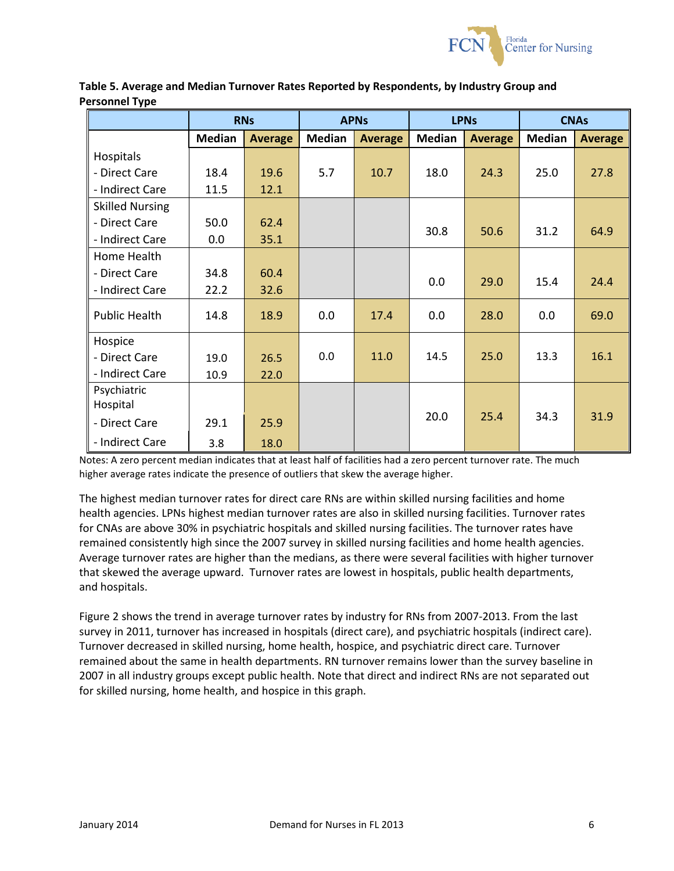

|                        |               | <b>RNs</b>     |               | <b>APNs</b>    | <b>LPNs</b>   |                | <b>CNAs</b>   |                |
|------------------------|---------------|----------------|---------------|----------------|---------------|----------------|---------------|----------------|
|                        | <b>Median</b> | <b>Average</b> | <b>Median</b> | <b>Average</b> | <b>Median</b> | <b>Average</b> | <b>Median</b> | <b>Average</b> |
| Hospitals              |               |                |               |                |               |                |               |                |
| - Direct Care          | 18.4          | 19.6           | 5.7           | 10.7           | 18.0          | 24.3           | 25.0          | 27.8           |
| - Indirect Care        | 11.5          | 12.1           |               |                |               |                |               |                |
| <b>Skilled Nursing</b> |               |                |               |                |               |                |               |                |
| - Direct Care          | 50.0          | 62.4           |               |                | 30.8          | 50.6           | 31.2          | 64.9           |
| - Indirect Care        | 0.0           | 35.1           |               |                |               |                |               |                |
| Home Health            |               |                |               |                |               |                |               |                |
| - Direct Care          | 34.8          | 60.4           |               |                | 0.0           | 29.0           | 15.4          | 24.4           |
| - Indirect Care        | 22.2          | 32.6           |               |                |               |                |               |                |
| <b>Public Health</b>   | 14.8          | 18.9           | 0.0           | 17.4           | 0.0           | 28.0           | 0.0           | 69.0           |
| Hospice                |               |                |               |                |               |                |               |                |
| - Direct Care          | 19.0          | 26.5           | 0.0           | 11.0           | 14.5          | 25.0           | 13.3          | 16.1           |
| - Indirect Care        | 10.9          | 22.0           |               |                |               |                |               |                |
| Psychiatric            |               |                |               |                |               |                |               |                |
| Hospital               |               |                |               |                |               |                |               |                |
| - Direct Care          | 29.1          | 25.9           |               |                | 20.0          | 25.4           | 34.3          | 31.9           |
| - Indirect Care        | 3.8           | 18.0           |               |                |               |                |               |                |

**Table 5. Average and Median Turnover Rates Reported by Respondents, by Industry Group and Personnel Type**

Notes: A zero percent median indicates that at least half of facilities had a zero percent turnover rate. The much higher average rates indicate the presence of outliers that skew the average higher.

The highest median turnover rates for direct care RNs are within skilled nursing facilities and home health agencies. LPNs highest median turnover rates are also in skilled nursing facilities. Turnover rates for CNAs are above 30% in psychiatric hospitals and skilled nursing facilities. The turnover rates have remained consistently high since the 2007 survey in skilled nursing facilities and home health agencies. Average turnover rates are higher than the medians, as there were several facilities with higher turnover that skewed the average upward. Turnover rates are lowest in hospitals, public health departments, and hospitals.

Figure 2 shows the trend in average turnover rates by industry for RNs from 2007-2013. From the last survey in 2011, turnover has increased in hospitals (direct care), and psychiatric hospitals (indirect care). Turnover decreased in skilled nursing, home health, hospice, and psychiatric direct care. Turnover remained about the same in health departments. RN turnover remains lower than the survey baseline in 2007 in all industry groups except public health. Note that direct and indirect RNs are not separated out for skilled nursing, home health, and hospice in this graph.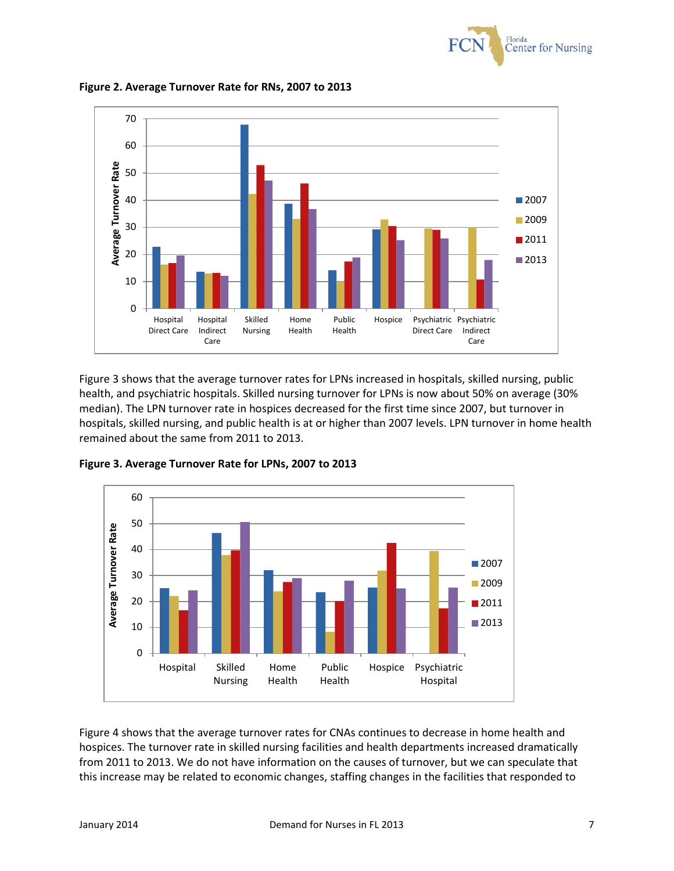



**Figure 2. Average Turnover Rate for RNs, 2007 to 2013**

Figure 3 shows that the average turnover rates for LPNs increased in hospitals, skilled nursing, public health, and psychiatric hospitals. Skilled nursing turnover for LPNs is now about 50% on average (30% median). The LPN turnover rate in hospices decreased for the first time since 2007, but turnover in hospitals, skilled nursing, and public health is at or higher than 2007 levels. LPN turnover in home health remained about the same from 2011 to 2013.



**Figure 3. Average Turnover Rate for LPNs, 2007 to 2013**

Figure 4 shows that the average turnover rates for CNAs continues to decrease in home health and hospices. The turnover rate in skilled nursing facilities and health departments increased dramatically from 2011 to 2013. We do not have information on the causes of turnover, but we can speculate that this increase may be related to economic changes, staffing changes in the facilities that responded to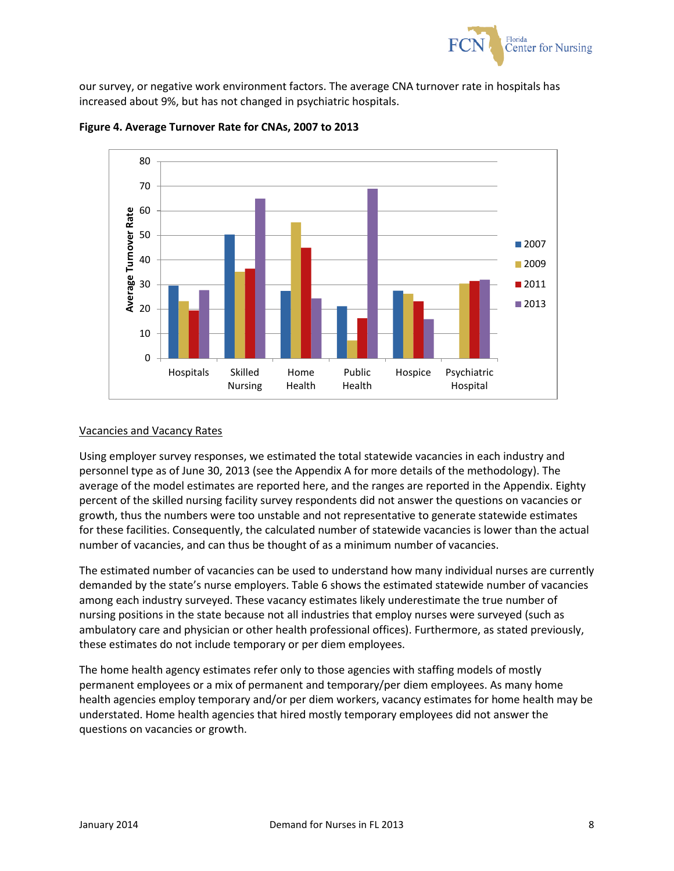

our survey, or negative work environment factors. The average CNA turnover rate in hospitals has increased about 9%, but has not changed in psychiatric hospitals.



**Figure 4. Average Turnover Rate for CNAs, 2007 to 2013**

#### Vacancies and Vacancy Rates

Using employer survey responses, we estimated the total statewide vacancies in each industry and personnel type as of June 30, 2013 (see the Appendix A for more details of the methodology). The average of the model estimates are reported here, and the ranges are reported in the Appendix. Eighty percent of the skilled nursing facility survey respondents did not answer the questions on vacancies or growth, thus the numbers were too unstable and not representative to generate statewide estimates for these facilities. Consequently, the calculated number of statewide vacancies is lower than the actual number of vacancies, and can thus be thought of as a minimum number of vacancies.

The estimated number of vacancies can be used to understand how many individual nurses are currently demanded by the state's nurse employers. Table 6 shows the estimated statewide number of vacancies among each industry surveyed. These vacancy estimates likely underestimate the true number of nursing positions in the state because not all industries that employ nurses were surveyed (such as ambulatory care and physician or other health professional offices). Furthermore, as stated previously, these estimates do not include temporary or per diem employees.

The home health agency estimates refer only to those agencies with staffing models of mostly permanent employees or a mix of permanent and temporary/per diem employees. As many home health agencies employ temporary and/or per diem workers, vacancy estimates for home health may be understated. Home health agencies that hired mostly temporary employees did not answer the questions on vacancies or growth.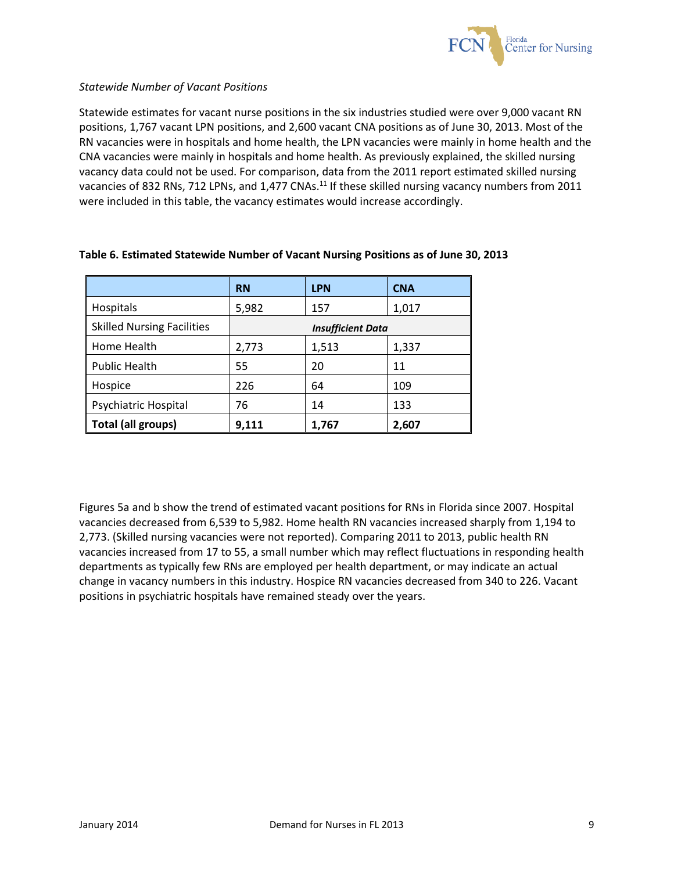

### *Statewide Number of Vacant Positions*

Statewide estimates for vacant nurse positions in the six industries studied were over 9,000 vacant RN positions, 1,767 vacant LPN positions, and 2,600 vacant CNA positions as of June 30, 2013. Most of the RN vacancies were in hospitals and home health, the LPN vacancies were mainly in home health and the CNA vacancies were mainly in hospitals and home health. As previously explained, the skilled nursing vacancy data could not be used. For comparison, data from the 2011 report estimated skilled nursing vacancies of 832 RNs, 712 LPNs, and 1,477 CNAs.<sup>11</sup> If these skilled nursing vacancy numbers from 2011 were included in this table, the vacancy estimates would increase accordingly.

|                                   | <b>RN</b>                | <b>LPN</b> | <b>CNA</b> |  |
|-----------------------------------|--------------------------|------------|------------|--|
| <b>Hospitals</b>                  | 5,982                    | 157        | 1,017      |  |
| <b>Skilled Nursing Facilities</b> | <b>Insufficient Data</b> |            |            |  |
| Home Health                       | 2,773                    | 1,513      | 1,337      |  |
| <b>Public Health</b>              | 55                       | 20         | 11         |  |
| Hospice                           | 226                      | 64         | 109        |  |
| Psychiatric Hospital              | 76                       | 14         | 133        |  |
| Total (all groups)                | 9,111                    | 1,767      | 2,607      |  |

## **Table 6. Estimated Statewide Number of Vacant Nursing Positions as of June 30, 2013**

Figures 5a and b show the trend of estimated vacant positions for RNs in Florida since 2007. Hospital vacancies decreased from 6,539 to 5,982. Home health RN vacancies increased sharply from 1,194 to 2,773. (Skilled nursing vacancies were not reported). Comparing 2011 to 2013, public health RN vacancies increased from 17 to 55, a small number which may reflect fluctuations in responding health departments as typically few RNs are employed per health department, or may indicate an actual change in vacancy numbers in this industry. Hospice RN vacancies decreased from 340 to 226. Vacant positions in psychiatric hospitals have remained steady over the years.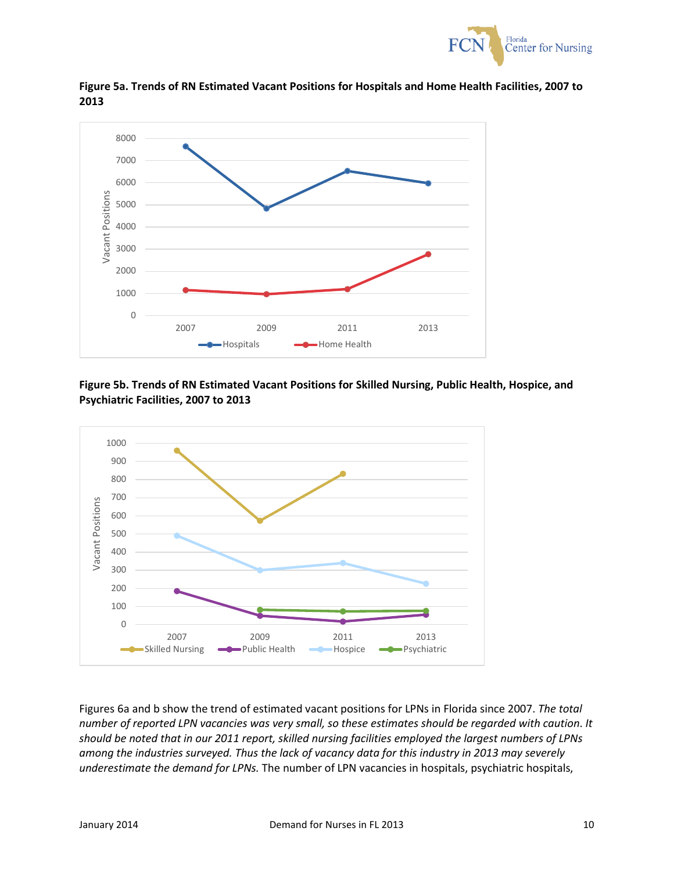



**Figure 5a. Trends of RN Estimated Vacant Positions for Hospitals and Home Health Facilities, 2007 to**  

### **Figure 5b. Trends of RN Estimated Vacant Positions for Skilled Nursing, Public Health, Hospice, and Psychiatric Facilities, 2007 to 2013**



Figures 6a and b show the trend of estimated vacant positions for LPNs in Florida since 2007. *The total number of reported LPN vacancies was very small, so these estimates should be regarded with caution*. *It should be noted that in our 2011 report, skilled nursing facilities employed the largest numbers of LPNs among the industries surveyed. Thus the lack of vacancy data for this industry in 2013 may severely underestimate the demand for LPNs.* The number of LPN vacancies in hospitals, psychiatric hospitals,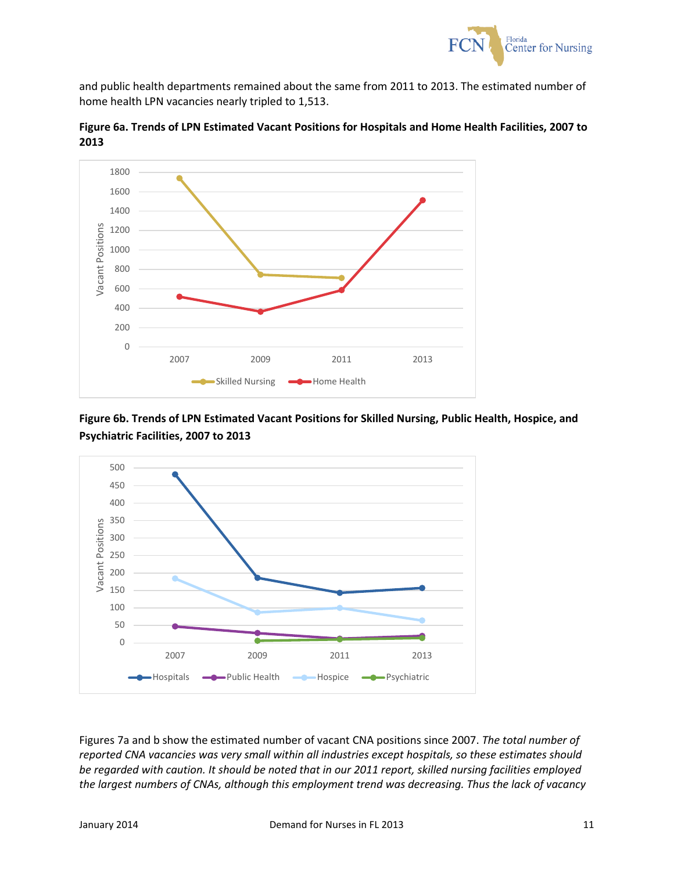

and public health departments remained about the same from 2011 to 2013. The estimated number of home health LPN vacancies nearly tripled to 1,513.



**Figure 6a. Trends of LPN Estimated Vacant Positions for Hospitals and Home Health Facilities, 2007 to**  

**Figure 6b. Trends of LPN Estimated Vacant Positions for Skilled Nursing, Public Health, Hospice, and Psychiatric Facilities, 2007 to 2013**



Figures 7a and b show the estimated number of vacant CNA positions since 2007. *The total number of reported CNA vacancies was very small within all industries except hospitals, so these estimates should be regarded with caution. It should be noted that in our 2011 report, skilled nursing facilities employed the largest numbers of CNAs, although this employment trend was decreasing. Thus the lack of vacancy*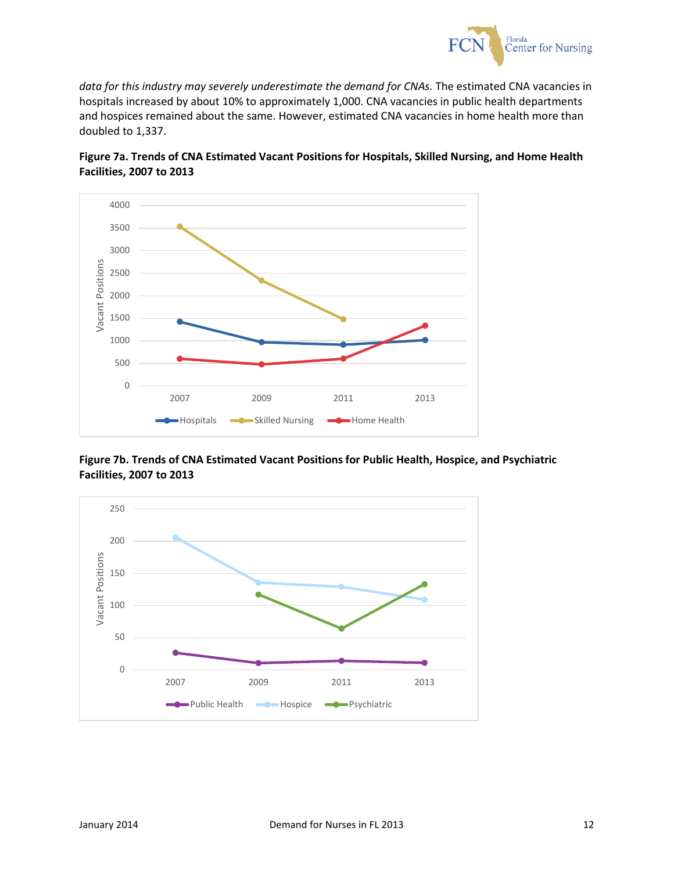

*data for this industry may severely underestimate the demand for CNAs.* The estimated CNA vacancies in hospitals increased by about 10% to approximately 1,000. CNA vacancies in public health departments and hospices remained about the same. However, estimated CNA vacancies in home health more than doubled to 1,337.





**Figure 7b. Trends of CNA Estimated Vacant Positions for Public Health, Hospice, and Psychiatric Facilities, 2007 to 2013**

![](_page_12_Figure_5.jpeg)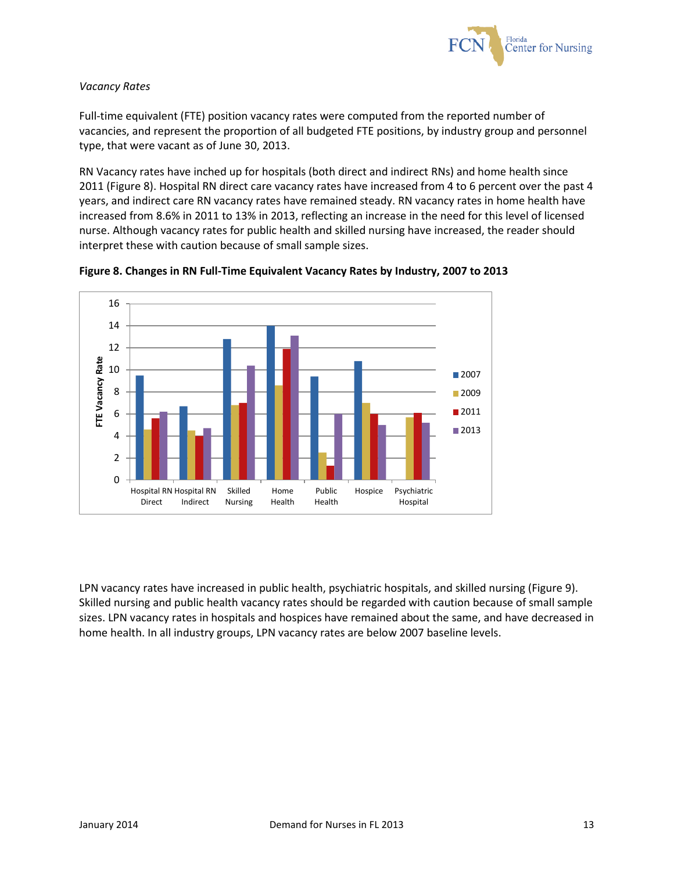![](_page_13_Picture_0.jpeg)

## *Vacancy Rates*

Full-time equivalent (FTE) position vacancy rates were computed from the reported number of vacancies, and represent the proportion of all budgeted FTE positions, by industry group and personnel type, that were vacant as of June 30, 2013.

RN Vacancy rates have inched up for hospitals (both direct and indirect RNs) and home health since 2011 (Figure 8). Hospital RN direct care vacancy rates have increased from 4 to 6 percent over the past 4 years, and indirect care RN vacancy rates have remained steady. RN vacancy rates in home health have increased from 8.6% in 2011 to 13% in 2013, reflecting an increase in the need for this level of licensed nurse. Although vacancy rates for public health and skilled nursing have increased, the reader should interpret these with caution because of small sample sizes.

![](_page_13_Figure_4.jpeg)

![](_page_13_Figure_5.jpeg)

LPN vacancy rates have increased in public health, psychiatric hospitals, and skilled nursing (Figure 9). Skilled nursing and public health vacancy rates should be regarded with caution because of small sample sizes. LPN vacancy rates in hospitals and hospices have remained about the same, and have decreased in home health. In all industry groups, LPN vacancy rates are below 2007 baseline levels.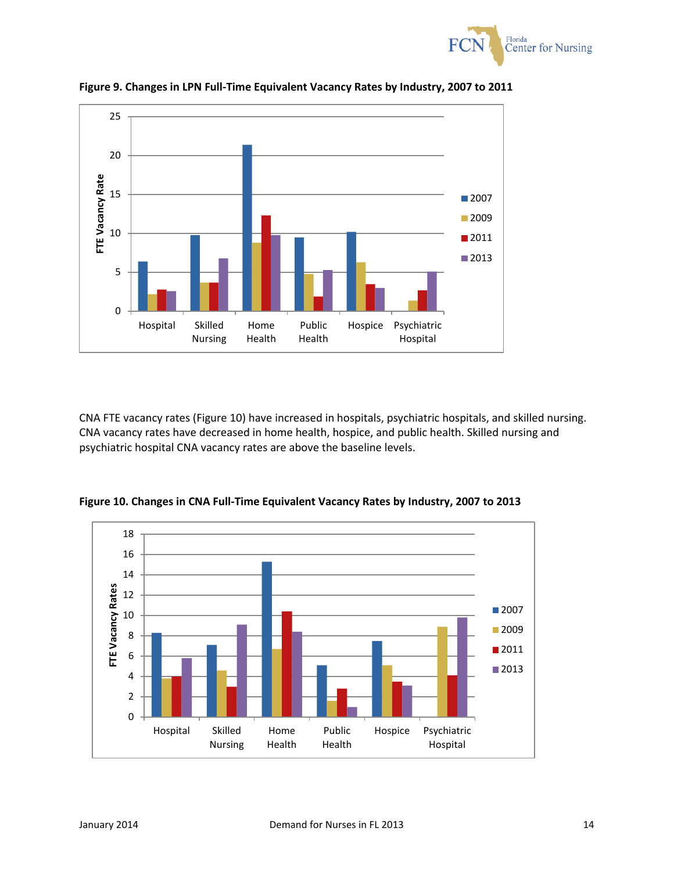![](_page_14_Picture_0.jpeg)

![](_page_14_Figure_1.jpeg)

**Figure 9. Changes in LPN Full-Time Equivalent Vacancy Rates by Industry, 2007 to 2011**

CNA FTE vacancy rates (Figure 10) have increased in hospitals, psychiatric hospitals, and skilled nursing. CNA vacancy rates have decreased in home health, hospice, and public health. Skilled nursing and psychiatric hospital CNA vacancy rates are above the baseline levels.

![](_page_14_Figure_4.jpeg)

**Figure 10. Changes in CNA Full-Time Equivalent Vacancy Rates by Industry, 2007 to 2013**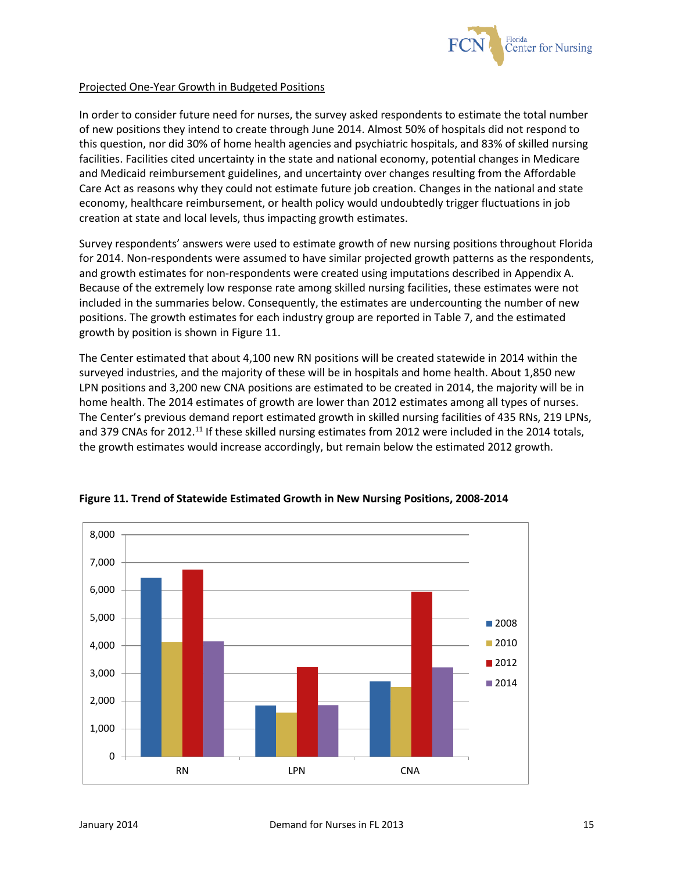![](_page_15_Picture_0.jpeg)

### Projected One-Year Growth in Budgeted Positions

In order to consider future need for nurses, the survey asked respondents to estimate the total number of new positions they intend to create through June 2014. Almost 50% of hospitals did not respond to this question, nor did 30% of home health agencies and psychiatric hospitals, and 83% of skilled nursing facilities. Facilities cited uncertainty in the state and national economy, potential changes in Medicare and Medicaid reimbursement guidelines, and uncertainty over changes resulting from the Affordable Care Act as reasons why they could not estimate future job creation. Changes in the national and state economy, healthcare reimbursement, or health policy would undoubtedly trigger fluctuations in job creation at state and local levels, thus impacting growth estimates.

Survey respondents' answers were used to estimate growth of new nursing positions throughout Florida for 2014. Non-respondents were assumed to have similar projected growth patterns as the respondents, and growth estimates for non-respondents were created using imputations described in Appendix A. Because of the extremely low response rate among skilled nursing facilities, these estimates were not included in the summaries below. Consequently, the estimates are undercounting the number of new positions. The growth estimates for each industry group are reported in Table 7, and the estimated growth by position is shown in Figure 11.

The Center estimated that about 4,100 new RN positions will be created statewide in 2014 within the surveyed industries, and the majority of these will be in hospitals and home health. About 1,850 new LPN positions and 3,200 new CNA positions are estimated to be created in 2014, the majority will be in home health. The 2014 estimates of growth are lower than 2012 estimates among all types of nurses. The Center's previous demand report estimated growth in skilled nursing facilities of 435 RNs, 219 LPNs, and 379 CNAs for 2012.<sup>11</sup> If these skilled nursing estimates from 2012 were included in the 2014 totals, the growth estimates would increase accordingly, but remain below the estimated 2012 growth.

![](_page_15_Figure_5.jpeg)

**Figure 11. Trend of Statewide Estimated Growth in New Nursing Positions, 2008-2014**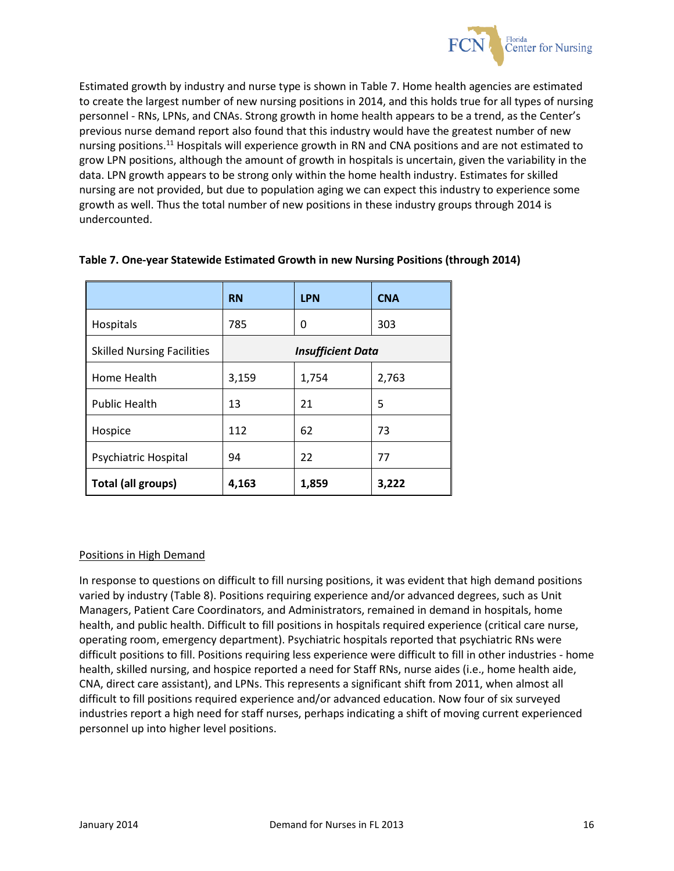![](_page_16_Picture_0.jpeg)

Estimated growth by industry and nurse type is shown in Table 7. Home health agencies are estimated to create the largest number of new nursing positions in 2014, and this holds true for all types of nursing personnel - RNs, LPNs, and CNAs. Strong growth in home health appears to be a trend, as the Center's previous nurse demand report also found that this industry would have the greatest number of new nursing positions.<sup>11</sup> Hospitals will experience growth in RN and CNA positions and are not estimated to grow LPN positions, although the amount of growth in hospitals is uncertain, given the variability in the data. LPN growth appears to be strong only within the home health industry. Estimates for skilled nursing are not provided, but due to population aging we can expect this industry to experience some growth as well. Thus the total number of new positions in these industry groups through 2014 is undercounted.

|                                   | <b>RN</b>                | <b>LPN</b> | <b>CNA</b> |  |
|-----------------------------------|--------------------------|------------|------------|--|
| Hospitals                         | 785                      | 0          | 303        |  |
| <b>Skilled Nursing Facilities</b> | <b>Insufficient Data</b> |            |            |  |
| Home Health                       | 3,159                    | 1,754      | 2,763      |  |
| <b>Public Health</b>              | 13                       | 21         | 5          |  |
| Hospice                           | 112                      | 62         | 73         |  |
| Psychiatric Hospital              | 94                       | 22         | 77         |  |
| <b>Total (all groups)</b>         | 4,163                    | 1,859      | 3,222      |  |

## **Table 7. One-year Statewide Estimated Growth in new Nursing Positions (through 2014)**

#### Positions in High Demand

In response to questions on difficult to fill nursing positions, it was evident that high demand positions varied by industry (Table 8). Positions requiring experience and/or advanced degrees, such as Unit Managers, Patient Care Coordinators, and Administrators, remained in demand in hospitals, home health, and public health. Difficult to fill positions in hospitals required experience (critical care nurse, operating room, emergency department). Psychiatric hospitals reported that psychiatric RNs were difficult positions to fill. Positions requiring less experience were difficult to fill in other industries - home health, skilled nursing, and hospice reported a need for Staff RNs, nurse aides (i.e., home health aide, CNA, direct care assistant), and LPNs. This represents a significant shift from 2011, when almost all difficult to fill positions required experience and/or advanced education. Now four of six surveyed industries report a high need for staff nurses, perhaps indicating a shift of moving current experienced personnel up into higher level positions.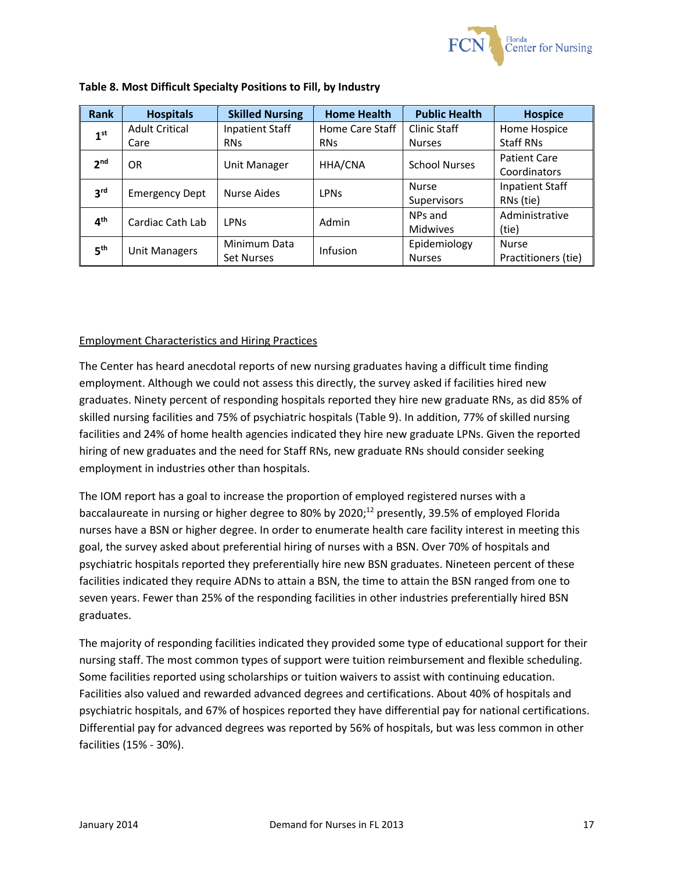![](_page_17_Picture_0.jpeg)

| <b>Rank</b>     | <b>Hospitals</b>      | <b>Skilled Nursing</b> | <b>Home Health</b>     | <b>Public Health</b> | <b>Hospice</b>         |
|-----------------|-----------------------|------------------------|------------------------|----------------------|------------------------|
| 1 <sup>st</sup> | <b>Adult Critical</b> | Inpatient Staff        | Home Care Staff        | Clinic Staff         | Home Hospice           |
|                 | Care                  | <b>RNs</b>             | <b>RNs</b>             | <b>Nurses</b>        | Staff RNs              |
| 2 <sub>nd</sub> | <b>OR</b>             |                        | HHA/CNA                | <b>School Nurses</b> | Patient Care           |
|                 |                       | Unit Manager           |                        |                      | Coordinators           |
| 3 <sup>rd</sup> | <b>Emergency Dept</b> | Nurse Aides            | <b>LPN<sub>S</sub></b> | <b>Nurse</b>         | <b>Inpatient Staff</b> |
|                 |                       |                        |                        | Supervisors          | RNs (tie)              |
| 4 <sup>th</sup> | Cardiac Cath Lab      | <b>LPN<sub>S</sub></b> | Admin                  | NPs and              | Administrative         |
|                 |                       |                        |                        | <b>Midwives</b>      | (tie)                  |
| 5 <sup>th</sup> |                       | Minimum Data           | Infusion               | Epidemiology         | <b>Nurse</b>           |
|                 | <b>Unit Managers</b>  | <b>Set Nurses</b>      |                        | <b>Nurses</b>        | Practitioners (tie)    |

### **Table 8. Most Difficult Specialty Positions to Fill, by Industry**

## Employment Characteristics and Hiring Practices

The Center has heard anecdotal reports of new nursing graduates having a difficult time finding employment. Although we could not assess this directly, the survey asked if facilities hired new graduates. Ninety percent of responding hospitals reported they hire new graduate RNs, as did 85% of skilled nursing facilities and 75% of psychiatric hospitals (Table 9). In addition, 77% of skilled nursing facilities and 24% of home health agencies indicated they hire new graduate LPNs. Given the reported hiring of new graduates and the need for Staff RNs, new graduate RNs should consider seeking employment in industries other than hospitals.

The IOM report has a goal to increase the proportion of employed registered nurses with a baccalaureate in nursing or higher degree to 80% by 2020; <sup>12</sup> presently, 39.5% of employed Florida nurses have a BSN or higher degree. In order to enumerate health care facility interest in meeting this goal, the survey asked about preferential hiring of nurses with a BSN. Over 70% of hospitals and psychiatric hospitals reported they preferentially hire new BSN graduates. Nineteen percent of these facilities indicated they require ADNs to attain a BSN, the time to attain the BSN ranged from one to seven years. Fewer than 25% of the responding facilities in other industries preferentially hired BSN graduates.

The majority of responding facilities indicated they provided some type of educational support for their nursing staff. The most common types of support were tuition reimbursement and flexible scheduling. Some facilities reported using scholarships or tuition waivers to assist with continuing education. Facilities also valued and rewarded advanced degrees and certifications. About 40% of hospitals and psychiatric hospitals, and 67% of hospices reported they have differential pay for national certifications. Differential pay for advanced degrees was reported by 56% of hospitals, but was less common in other facilities (15% - 30%).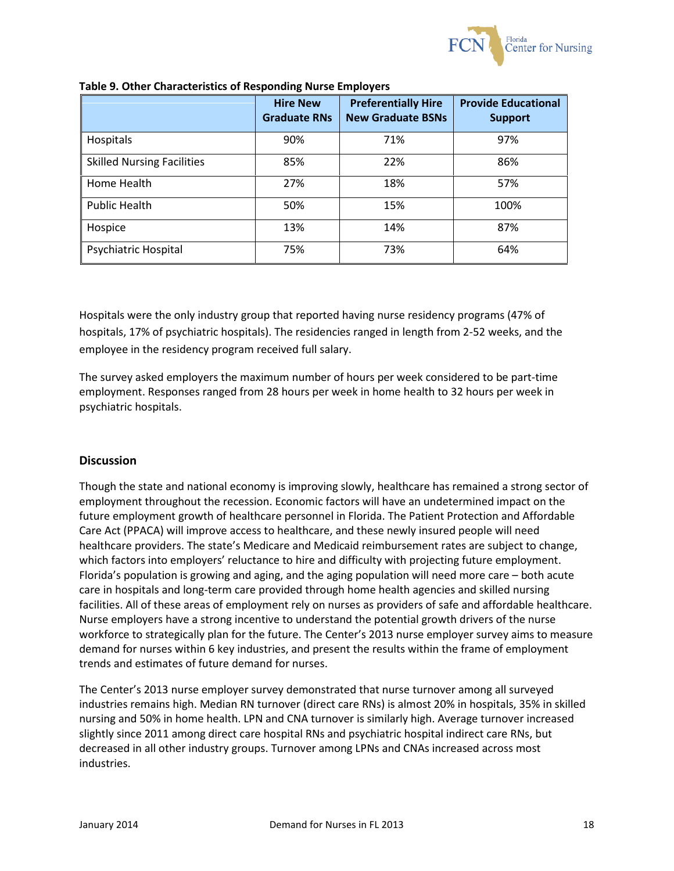![](_page_18_Picture_0.jpeg)

|                                   | <b>Hire New</b><br><b>Graduate RNs</b> | <b>Preferentially Hire</b><br><b>New Graduate BSNs</b> | <b>Provide Educational</b><br><b>Support</b> |
|-----------------------------------|----------------------------------------|--------------------------------------------------------|----------------------------------------------|
| Hospitals                         | 90%                                    | 71%                                                    | 97%                                          |
| <b>Skilled Nursing Facilities</b> | 85%                                    | 22%                                                    | 86%                                          |
| Home Health                       | 27%                                    | 18%                                                    | 57%                                          |
| <b>Public Health</b>              | 50%                                    | 15%                                                    | 100%                                         |
| Hospice                           | 13%                                    | 14%                                                    | 87%                                          |
| Psychiatric Hospital              | 75%                                    | 73%                                                    | 64%                                          |

#### **Table 9. Other Characteristics of Responding Nurse Employers**

Hospitals were the only industry group that reported having nurse residency programs (47% of hospitals, 17% of psychiatric hospitals). The residencies ranged in length from 2-52 weeks, and the employee in the residency program received full salary.

The survey asked employers the maximum number of hours per week considered to be part-time employment. Responses ranged from 28 hours per week in home health to 32 hours per week in psychiatric hospitals.

## **Discussion**

Though the state and national economy is improving slowly, healthcare has remained a strong sector of employment throughout the recession. Economic factors will have an undetermined impact on the future employment growth of healthcare personnel in Florida. The Patient Protection and Affordable Care Act (PPACA) will improve access to healthcare, and these newly insured people will need healthcare providers. The state's Medicare and Medicaid reimbursement rates are subject to change, which factors into employers' reluctance to hire and difficulty with projecting future employment. Florida's population is growing and aging, and the aging population will need more care – both acute care in hospitals and long-term care provided through home health agencies and skilled nursing facilities. All of these areas of employment rely on nurses as providers of safe and affordable healthcare. Nurse employers have a strong incentive to understand the potential growth drivers of the nurse workforce to strategically plan for the future. The Center's 2013 nurse employer survey aims to measure demand for nurses within 6 key industries, and present the results within the frame of employment trends and estimates of future demand for nurses.

The Center's 2013 nurse employer survey demonstrated that nurse turnover among all surveyed industries remains high. Median RN turnover (direct care RNs) is almost 20% in hospitals, 35% in skilled nursing and 50% in home health. LPN and CNA turnover is similarly high. Average turnover increased slightly since 2011 among direct care hospital RNs and psychiatric hospital indirect care RNs, but decreased in all other industry groups. Turnover among LPNs and CNAs increased across most industries.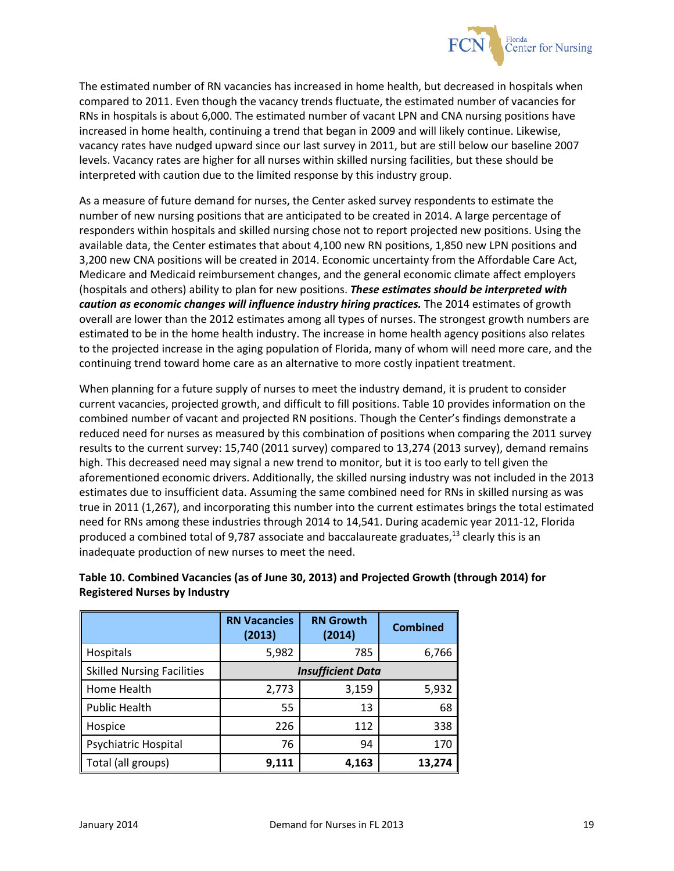![](_page_19_Picture_0.jpeg)

The estimated number of RN vacancies has increased in home health, but decreased in hospitals when compared to 2011. Even though the vacancy trends fluctuate, the estimated number of vacancies for RNs in hospitals is about 6,000. The estimated number of vacant LPN and CNA nursing positions have increased in home health, continuing a trend that began in 2009 and will likely continue. Likewise, vacancy rates have nudged upward since our last survey in 2011, but are still below our baseline 2007 levels. Vacancy rates are higher for all nurses within skilled nursing facilities, but these should be interpreted with caution due to the limited response by this industry group.

As a measure of future demand for nurses, the Center asked survey respondents to estimate the number of new nursing positions that are anticipated to be created in 2014. A large percentage of responders within hospitals and skilled nursing chose not to report projected new positions. Using the available data, the Center estimates that about 4,100 new RN positions, 1,850 new LPN positions and 3,200 new CNA positions will be created in 2014. Economic uncertainty from the Affordable Care Act, Medicare and Medicaid reimbursement changes, and the general economic climate affect employers (hospitals and others) ability to plan for new positions. *These estimates should be interpreted with caution as economic changes will influence industry hiring practices.* The 2014 estimates of growth overall are lower than the 2012 estimates among all types of nurses. The strongest growth numbers are estimated to be in the home health industry. The increase in home health agency positions also relates to the projected increase in the aging population of Florida, many of whom will need more care, and the continuing trend toward home care as an alternative to more costly inpatient treatment.

When planning for a future supply of nurses to meet the industry demand, it is prudent to consider current vacancies, projected growth, and difficult to fill positions. Table 10 provides information on the combined number of vacant and projected RN positions. Though the Center's findings demonstrate a reduced need for nurses as measured by this combination of positions when comparing the 2011 survey results to the current survey: 15,740 (2011 survey) compared to 13,274 (2013 survey), demand remains high. This decreased need may signal a new trend to monitor, but it is too early to tell given the aforementioned economic drivers. Additionally, the skilled nursing industry was not included in the 2013 estimates due to insufficient data. Assuming the same combined need for RNs in skilled nursing as was true in 2011 (1,267), and incorporating this number into the current estimates brings the total estimated need for RNs among these industries through 2014 to 14,541. During academic year 2011-12, Florida produced a combined total of 9,787 associate and baccalaureate graduates,<sup>13</sup> clearly this is an inadequate production of new nurses to meet the need.

|                                   | <b>RN Vacancies</b><br>(2013) | <b>RN Growth</b><br>(2014) | <b>Combined</b> |  |  |
|-----------------------------------|-------------------------------|----------------------------|-----------------|--|--|
| Hospitals                         | 5,982                         | 785                        | 6,766           |  |  |
| <b>Skilled Nursing Facilities</b> | <b>Insufficient Data</b>      |                            |                 |  |  |
| Home Health                       | 2,773                         | 3,159                      | 5,932           |  |  |
| <b>Public Health</b>              | 55                            | 13                         | 68              |  |  |
| Hospice                           | 226                           | 112                        | 338             |  |  |
| Psychiatric Hospital              | 76                            | 94                         | 170             |  |  |
| ∥<br>Total (all groups)           | 9,111                         | 4,163                      | 13,274          |  |  |

## **Table 10. Combined Vacancies (as of June 30, 2013) and Projected Growth (through 2014) for Registered Nurses by Industry**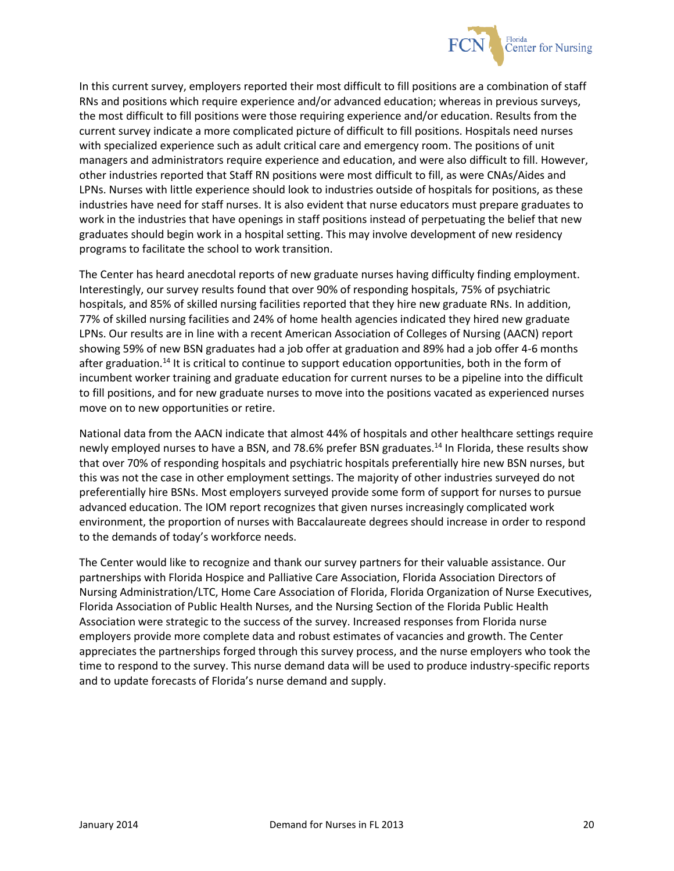![](_page_20_Picture_0.jpeg)

In this current survey, employers reported their most difficult to fill positions are a combination of staff RNs and positions which require experience and/or advanced education; whereas in previous surveys, the most difficult to fill positions were those requiring experience and/or education. Results from the current survey indicate a more complicated picture of difficult to fill positions. Hospitals need nurses with specialized experience such as adult critical care and emergency room. The positions of unit managers and administrators require experience and education, and were also difficult to fill. However, other industries reported that Staff RN positions were most difficult to fill, as were CNAs/Aides and LPNs. Nurses with little experience should look to industries outside of hospitals for positions, as these industries have need for staff nurses. It is also evident that nurse educators must prepare graduates to work in the industries that have openings in staff positions instead of perpetuating the belief that new graduates should begin work in a hospital setting. This may involve development of new residency programs to facilitate the school to work transition.

The Center has heard anecdotal reports of new graduate nurses having difficulty finding employment. Interestingly, our survey results found that over 90% of responding hospitals, 75% of psychiatric hospitals, and 85% of skilled nursing facilities reported that they hire new graduate RNs. In addition, 77% of skilled nursing facilities and 24% of home health agencies indicated they hired new graduate LPNs. Our results are in line with a recent American Association of Colleges of Nursing (AACN) report showing 59% of new BSN graduates had a job offer at graduation and 89% had a job offer 4-6 months after graduation.<sup>14</sup> It is critical to continue to support education opportunities, both in the form of incumbent worker training and graduate education for current nurses to be a pipeline into the difficult to fill positions, and for new graduate nurses to move into the positions vacated as experienced nurses move on to new opportunities or retire.

National data from the AACN indicate that almost 44% of hospitals and other healthcare settings require newly employed nurses to have a BSN, and 78.6% prefer BSN graduates.<sup>14</sup> In Florida, these results show that over 70% of responding hospitals and psychiatric hospitals preferentially hire new BSN nurses, but this was not the case in other employment settings. The majority of other industries surveyed do not preferentially hire BSNs. Most employers surveyed provide some form of support for nurses to pursue advanced education. The IOM report recognizes that given nurses increasingly complicated work environment, the proportion of nurses with Baccalaureate degrees should increase in order to respond to the demands of today's workforce needs.

The Center would like to recognize and thank our survey partners for their valuable assistance. Our partnerships with Florida Hospice and Palliative Care Association, Florida Association Directors of Nursing Administration/LTC, Home Care Association of Florida, Florida Organization of Nurse Executives, Florida Association of Public Health Nurses, and the Nursing Section of the Florida Public Health Association were strategic to the success of the survey. Increased responses from Florida nurse employers provide more complete data and robust estimates of vacancies and growth. The Center appreciates the partnerships forged through this survey process, and the nurse employers who took the time to respond to the survey. This nurse demand data will be used to produce industry-specific reports and to update forecasts of Florida's nurse demand and supply.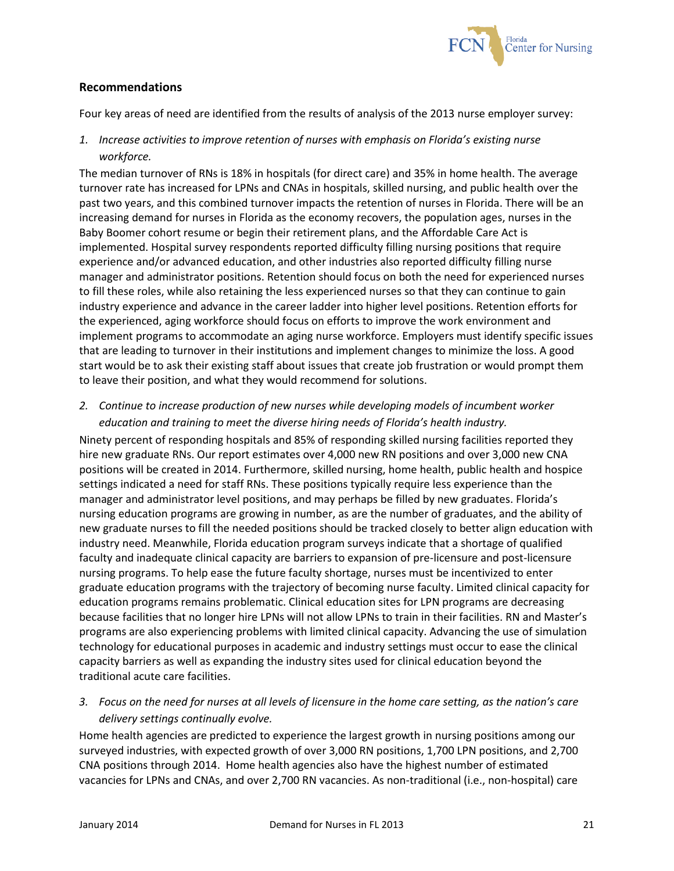![](_page_21_Picture_0.jpeg)

## **Recommendations**

Four key areas of need are identified from the results of analysis of the 2013 nurse employer survey:

*1. Increase activities to improve retention of nurses with emphasis on Florida's existing nurse workforce.*

The median turnover of RNs is 18% in hospitals (for direct care) and 35% in home health. The average turnover rate has increased for LPNs and CNAs in hospitals, skilled nursing, and public health over the past two years, and this combined turnover impacts the retention of nurses in Florida. There will be an increasing demand for nurses in Florida as the economy recovers, the population ages, nurses in the Baby Boomer cohort resume or begin their retirement plans, and the Affordable Care Act is implemented. Hospital survey respondents reported difficulty filling nursing positions that require experience and/or advanced education, and other industries also reported difficulty filling nurse manager and administrator positions. Retention should focus on both the need for experienced nurses to fill these roles, while also retaining the less experienced nurses so that they can continue to gain industry experience and advance in the career ladder into higher level positions. Retention efforts for the experienced, aging workforce should focus on efforts to improve the work environment and implement programs to accommodate an aging nurse workforce. Employers must identify specific issues that are leading to turnover in their institutions and implement changes to minimize the loss. A good start would be to ask their existing staff about issues that create job frustration or would prompt them to leave their position, and what they would recommend for solutions.

*2. Continue to increase production of new nurses while developing models of incumbent worker education and training to meet the diverse hiring needs of Florida's health industry.*

Ninety percent of responding hospitals and 85% of responding skilled nursing facilities reported they hire new graduate RNs. Our report estimates over 4,000 new RN positions and over 3,000 new CNA positions will be created in 2014. Furthermore, skilled nursing, home health, public health and hospice settings indicated a need for staff RNs. These positions typically require less experience than the manager and administrator level positions, and may perhaps be filled by new graduates. Florida's nursing education programs are growing in number, as are the number of graduates, and the ability of new graduate nurses to fill the needed positions should be tracked closely to better align education with industry need. Meanwhile, Florida education program surveys indicate that a shortage of qualified faculty and inadequate clinical capacity are barriers to expansion of pre-licensure and post-licensure nursing programs. To help ease the future faculty shortage, nurses must be incentivized to enter graduate education programs with the trajectory of becoming nurse faculty. Limited clinical capacity for education programs remains problematic. Clinical education sites for LPN programs are decreasing because facilities that no longer hire LPNs will not allow LPNs to train in their facilities. RN and Master's programs are also experiencing problems with limited clinical capacity. Advancing the use of simulation technology for educational purposes in academic and industry settings must occur to ease the clinical capacity barriers as well as expanding the industry sites used for clinical education beyond the traditional acute care facilities.

*3. Focus on the need for nurses at all levels of licensure in the home care setting, as the nation's care delivery settings continually evolve.* 

Home health agencies are predicted to experience the largest growth in nursing positions among our surveyed industries, with expected growth of over 3,000 RN positions, 1,700 LPN positions, and 2,700 CNA positions through 2014. Home health agencies also have the highest number of estimated vacancies for LPNs and CNAs, and over 2,700 RN vacancies. As non-traditional (i.e., non-hospital) care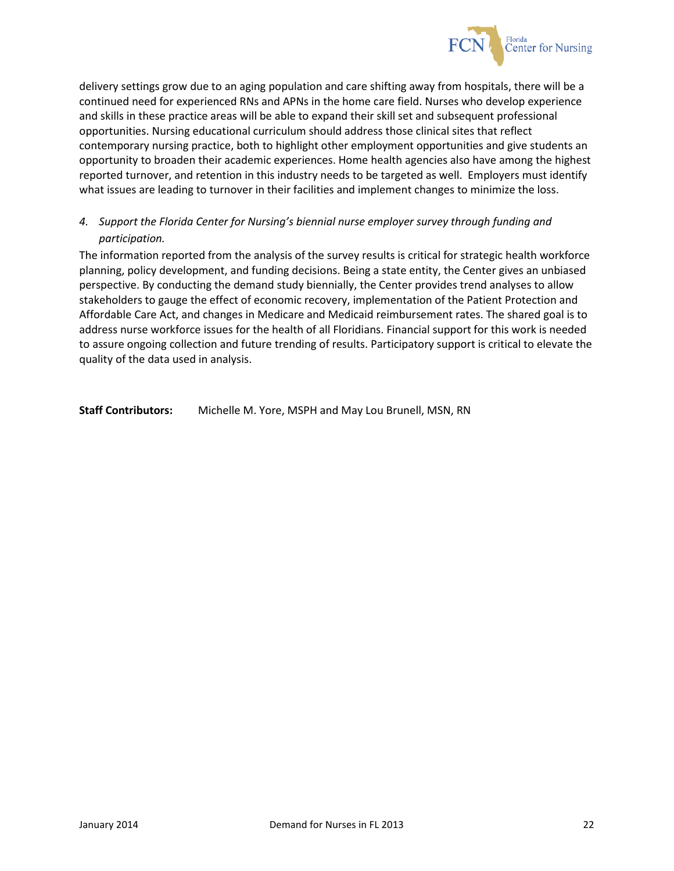![](_page_22_Picture_0.jpeg)

delivery settings grow due to an aging population and care shifting away from hospitals, there will be a continued need for experienced RNs and APNs in the home care field. Nurses who develop experience and skills in these practice areas will be able to expand their skill set and subsequent professional opportunities. Nursing educational curriculum should address those clinical sites that reflect contemporary nursing practice, both to highlight other employment opportunities and give students an opportunity to broaden their academic experiences. Home health agencies also have among the highest reported turnover, and retention in this industry needs to be targeted as well. Employers must identify what issues are leading to turnover in their facilities and implement changes to minimize the loss.

## *4. Support the Florida Center for Nursing's biennial nurse employer survey through funding and participation.*

The information reported from the analysis of the survey results is critical for strategic health workforce planning, policy development, and funding decisions. Being a state entity, the Center gives an unbiased perspective. By conducting the demand study biennially, the Center provides trend analyses to allow stakeholders to gauge the effect of economic recovery, implementation of the Patient Protection and Affordable Care Act, and changes in Medicare and Medicaid reimbursement rates. The shared goal is to address nurse workforce issues for the health of all Floridians. Financial support for this work is needed to assure ongoing collection and future trending of results. Participatory support is critical to elevate the quality of the data used in analysis.

**Staff Contributors:** Michelle M. Yore, MSPH and May Lou Brunell, MSN, RN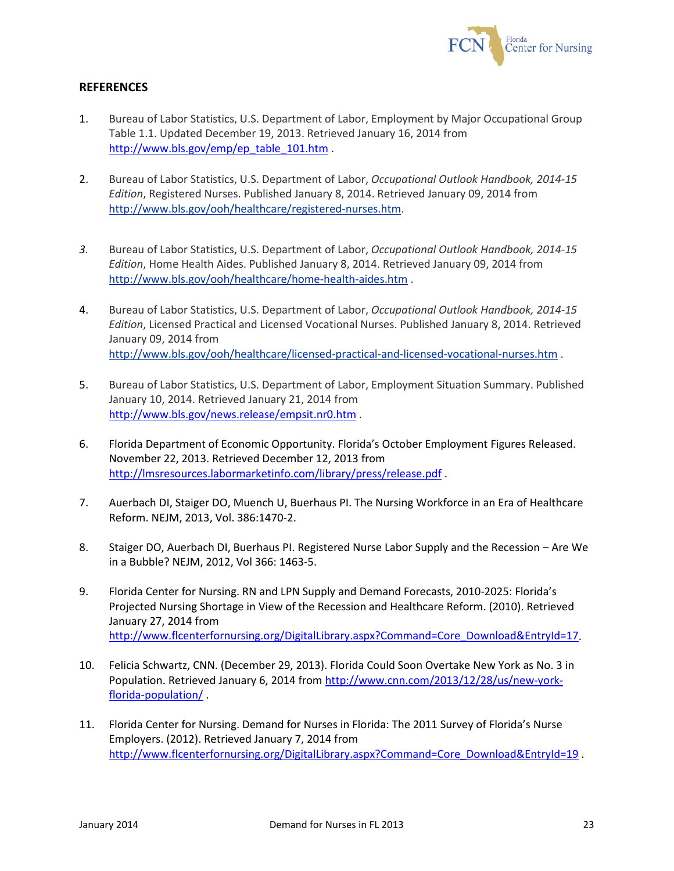![](_page_23_Picture_0.jpeg)

## **REFERENCES**

- 1. Bureau of Labor Statistics, U.S. Department of Labor, Employment by Major Occupational Group Table 1.1. Updated December 19, 2013. Retrieved January 16, 2014 from [http://www.bls.gov/emp/ep\\_table\\_101.htm](http://www.bls.gov/emp/ep_table_101.htm) .
- 2. Bureau of Labor Statistics, U.S. Department of Labor, *Occupational Outlook Handbook, 2014-15 Edition*, Registered Nurses. Published January 8, 2014. Retrieved January 09, 2014 from [http://www.bls.gov/ooh/healthcare/registered-nurses.htm.](http://www.bls.gov/ooh/healthcare/registered-nurses.htm)
- *3.* Bureau of Labor Statistics, U.S. Department of Labor, *Occupational Outlook Handbook, 2014-15 Edition*, Home Health Aides. Published January 8, 2014. Retrieved January 09, 2014 from <http://www.bls.gov/ooh/healthcare/home-health-aides.htm> .
- 4. Bureau of Labor Statistics, U.S. Department of Labor, *Occupational Outlook Handbook, 2014-15 Edition*, Licensed Practical and Licensed Vocational Nurses. Published January 8, 2014. Retrieved January 09, 2014 from <http://www.bls.gov/ooh/healthcare/licensed-practical-and-licensed-vocational-nurses.htm> .
- 5. Bureau of Labor Statistics, U.S. Department of Labor, Employment Situation Summary. Published January 10, 2014. Retrieved January 21, 2014 from <http://www.bls.gov/news.release/empsit.nr0.htm> .
- 6. Florida Department of Economic Opportunity. Florida's October Employment Figures Released. November 22, 2013. Retrieved December 12, 2013 from <http://lmsresources.labormarketinfo.com/library/press/release.pdf> .
- 7. Auerbach DI, Staiger DO, Muench U, Buerhaus PI. The Nursing Workforce in an Era of Healthcare Reform. NEJM, 2013, Vol. 386:1470-2.
- 8. Staiger DO, Auerbach DI, Buerhaus PI. Registered Nurse Labor Supply and the Recession Are We in a Bubble? NEJM, 2012, Vol 366: 1463-5.
- 9. Florida Center for Nursing. RN and LPN Supply and Demand Forecasts, 2010-2025: Florida's Projected Nursing Shortage in View of the Recession and Healthcare Reform. (2010). Retrieved January 27, 2014 from [http://www.flcenterfornursing.org/DigitalLibrary.aspx?Command=Core\\_Download&EntryId=17.](http://www.flcenterfornursing.org/DigitalLibrary.aspx?Command=Core_Download&EntryId=17)
- 10. Felicia Schwartz, CNN. (December 29, 2013). Florida Could Soon Overtake New York as No. 3 in Population. Retrieved January 6, 2014 from [http://www.cnn.com/2013/12/28/us/new-york](http://www.cnn.com/2013/12/28/us/new-york-florida-population/)[florida-population/](http://www.cnn.com/2013/12/28/us/new-york-florida-population/) .
- 11. Florida Center for Nursing. Demand for Nurses in Florida: The 2011 Survey of Florida's Nurse Employers. (2012). Retrieved January 7, 2014 from [http://www.flcenterfornursing.org/DigitalLibrary.aspx?Command=Core\\_Download&EntryId=19](http://www.flcenterfornursing.org/DigitalLibrary.aspx?Command=Core_Download&EntryId=19) .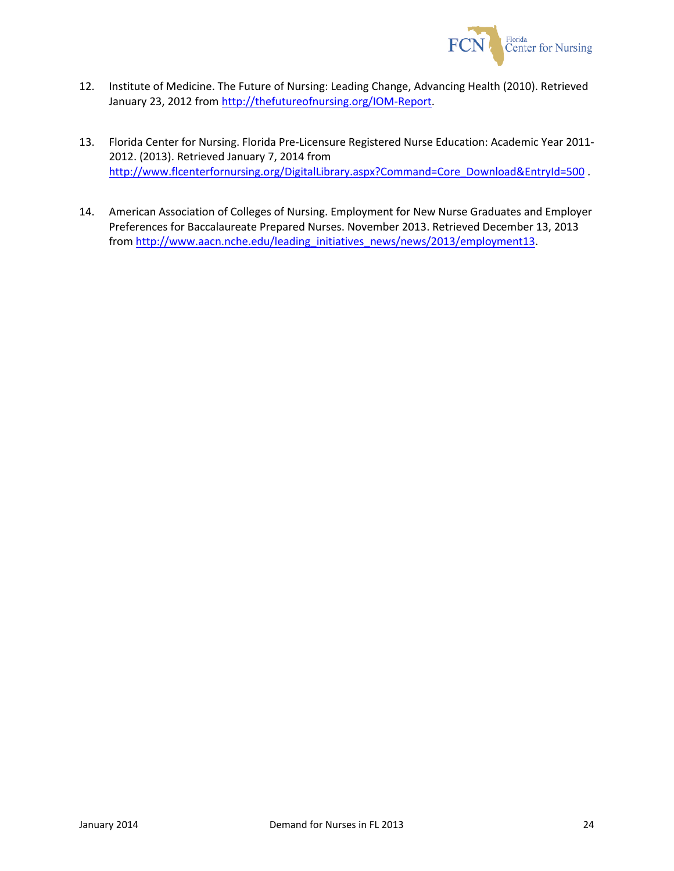![](_page_24_Picture_0.jpeg)

- 12. Institute of Medicine. The Future of Nursing: Leading Change, Advancing Health (2010). Retrieved January 23, 2012 from [http://thefutureofnursing.org/IOM-Report.](http://thefutureofnursing.org/IOM-Report)
- 13. Florida Center for Nursing. Florida Pre-Licensure Registered Nurse Education: Academic Year 2011- 2012. (2013). Retrieved January 7, 2014 from [http://www.flcenterfornursing.org/DigitalLibrary.aspx?Command=Core\\_Download&EntryId=500](http://www.flcenterfornursing.org/DigitalLibrary.aspx?Command=Core_Download&EntryId=500) .
- 14. American Association of Colleges of Nursing. Employment for New Nurse Graduates and Employer Preferences for Baccalaureate Prepared Nurses. November 2013. Retrieved December 13, 2013 from [http://www.aacn.nche.edu/leading\\_initiatives\\_news/news/2013/employment13.](http://www.aacn.nche.edu/leading_initiatives_news/news/2013/employment13)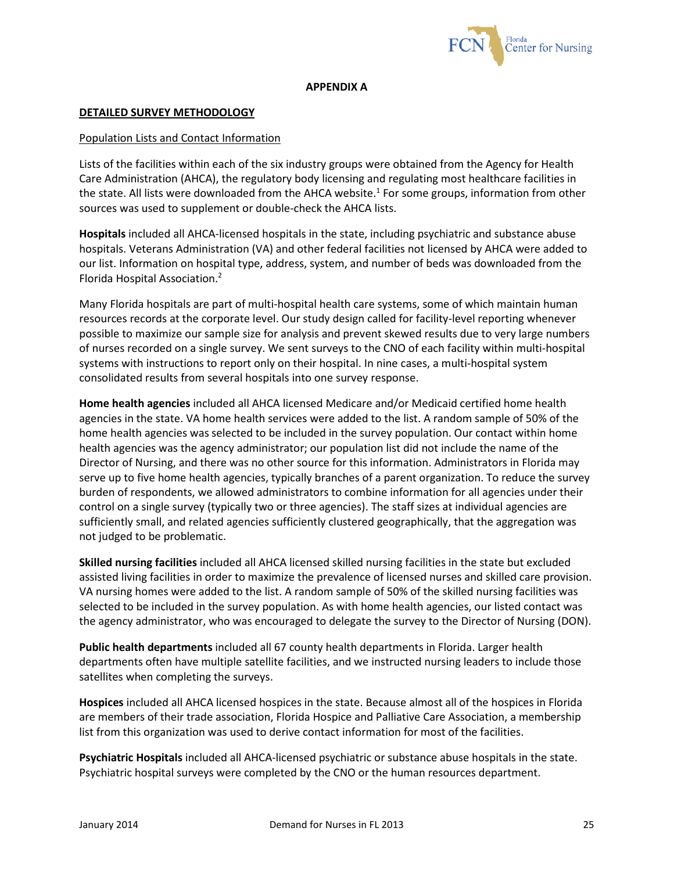![](_page_25_Picture_0.jpeg)

#### **APPENDIX A**

#### **DETAILED SURVEY METHODOLOGY**

#### Population Lists and Contact Information

Lists of the facilities within each of the six industry groups were obtained from the Agency for Health Care Administration (AHCA), the regulatory body licensing and regulating most healthcare facilities in the state. All lists were downloaded from the AHCA website.<sup>1</sup> For some groups, information from other sources was used to supplement or double-check the AHCA lists.

**Hospitals** included all AHCA-licensed hospitals in the state, including psychiatric and substance abuse hospitals. Veterans Administration (VA) and other federal facilities not licensed by AHCA were added to our list. Information on hospital type, address, system, and number of beds was downloaded from the Florida Hospital Association.2

Many Florida hospitals are part of multi-hospital health care systems, some of which maintain human resources records at the corporate level. Our study design called for facility-level reporting whenever possible to maximize our sample size for analysis and prevent skewed results due to very large numbers of nurses recorded on a single survey. We sent surveys to the CNO of each facility within multi-hospital systems with instructions to report only on their hospital. In nine cases, a multi-hospital system consolidated results from several hospitals into one survey response.

**Home health agencies** included all AHCA licensed Medicare and/or Medicaid certified home health agencies in the state. VA home health services were added to the list. A random sample of 50% of the home health agencies was selected to be included in the survey population. Our contact within home health agencies was the agency administrator; our population list did not include the name of the Director of Nursing, and there was no other source for this information. Administrators in Florida may serve up to five home health agencies, typically branches of a parent organization. To reduce the survey burden of respondents, we allowed administrators to combine information for all agencies under their control on a single survey (typically two or three agencies). The staff sizes at individual agencies are sufficiently small, and related agencies sufficiently clustered geographically, that the aggregation was not judged to be problematic.

**Skilled nursing facilities** included all AHCA licensed skilled nursing facilities in the state but excluded assisted living facilities in order to maximize the prevalence of licensed nurses and skilled care provision. VA nursing homes were added to the list. A random sample of 50% of the skilled nursing facilities was selected to be included in the survey population. As with home health agencies, our listed contact was the agency administrator, who was encouraged to delegate the survey to the Director of Nursing (DON).

**Public health departments** included all 67 county health departments in Florida. Larger health departments often have multiple satellite facilities, and we instructed nursing leaders to include those satellites when completing the surveys.

**Hospices** included all AHCA licensed hospices in the state. Because almost all of the hospices in Florida are members of their trade association, Florida Hospice and Palliative Care Association, a membership list from this organization was used to derive contact information for most of the facilities.

**Psychiatric Hospitals** included all AHCA-licensed psychiatric or substance abuse hospitals in the state. Psychiatric hospital surveys were completed by the CNO or the human resources department.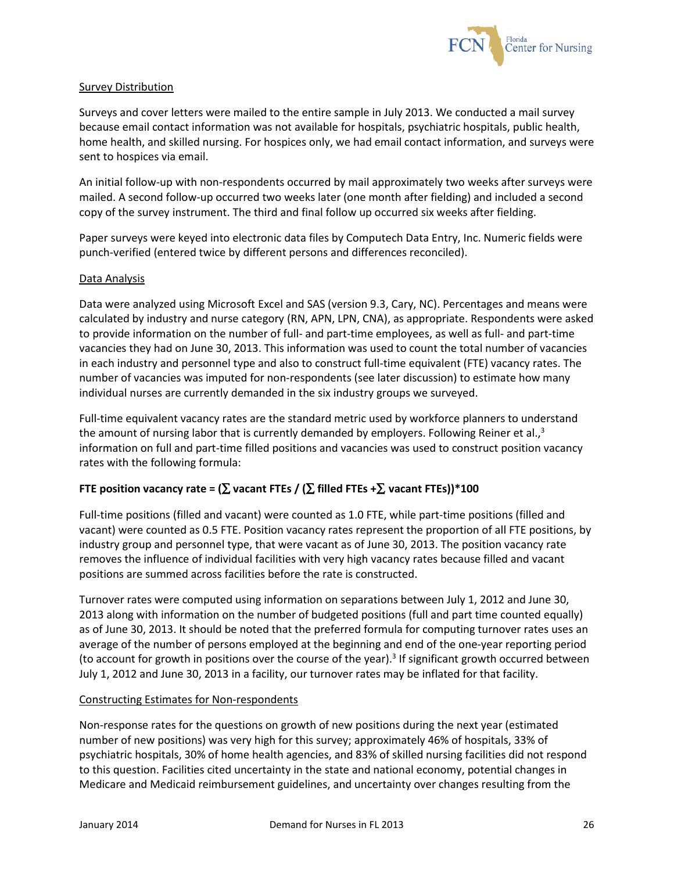![](_page_26_Picture_0.jpeg)

### Survey Distribution

Surveys and cover letters were mailed to the entire sample in July 2013. We conducted a mail survey because email contact information was not available for hospitals, psychiatric hospitals, public health, home health, and skilled nursing. For hospices only, we had email contact information, and surveys were sent to hospices via email.

An initial follow-up with non-respondents occurred by mail approximately two weeks after surveys were mailed. A second follow-up occurred two weeks later (one month after fielding) and included a second copy of the survey instrument. The third and final follow up occurred six weeks after fielding.

Paper surveys were keyed into electronic data files by Computech Data Entry, Inc. Numeric fields were punch-verified (entered twice by different persons and differences reconciled).

### Data Analysis

Data were analyzed using Microsoft Excel and SAS (version 9.3, Cary, NC). Percentages and means were calculated by industry and nurse category (RN, APN, LPN, CNA), as appropriate. Respondents were asked to provide information on the number of full- and part-time employees, as well as full- and part-time vacancies they had on June 30, 2013. This information was used to count the total number of vacancies in each industry and personnel type and also to construct full-time equivalent (FTE) vacancy rates. The number of vacancies was imputed for non-respondents (see later discussion) to estimate how many individual nurses are currently demanded in the six industry groups we surveyed.

Full-time equivalent vacancy rates are the standard metric used by workforce planners to understand the amount of nursing labor that is currently demanded by employers. Following Reiner et al., $3$ information on full and part-time filled positions and vacancies was used to construct position vacancy rates with the following formula:

## **FTE position vacancy rate = (***∑* **vacant FTEs / (***∑* **filled FTEs +***∑* **vacant FTEs))\*100**

Full-time positions (filled and vacant) were counted as 1.0 FTE, while part-time positions (filled and vacant) were counted as 0.5 FTE. Position vacancy rates represent the proportion of all FTE positions, by industry group and personnel type, that were vacant as of June 30, 2013. The position vacancy rate removes the influence of individual facilities with very high vacancy rates because filled and vacant positions are summed across facilities before the rate is constructed.

Turnover rates were computed using information on separations between July 1, 2012 and June 30, 2013 along with information on the number of budgeted positions (full and part time counted equally) as of June 30, 2013. It should be noted that the preferred formula for computing turnover rates uses an average of the number of persons employed at the beginning and end of the one-year reporting period (to account for growth in positions over the course of the year). $3$  If significant growth occurred between July 1, 2012 and June 30, 2013 in a facility, our turnover rates may be inflated for that facility.

#### Constructing Estimates for Non-respondents

Non-response rates for the questions on growth of new positions during the next year (estimated number of new positions) was very high for this survey; approximately 46% of hospitals, 33% of psychiatric hospitals, 30% of home health agencies, and 83% of skilled nursing facilities did not respond to this question. Facilities cited uncertainty in the state and national economy, potential changes in Medicare and Medicaid reimbursement guidelines, and uncertainty over changes resulting from the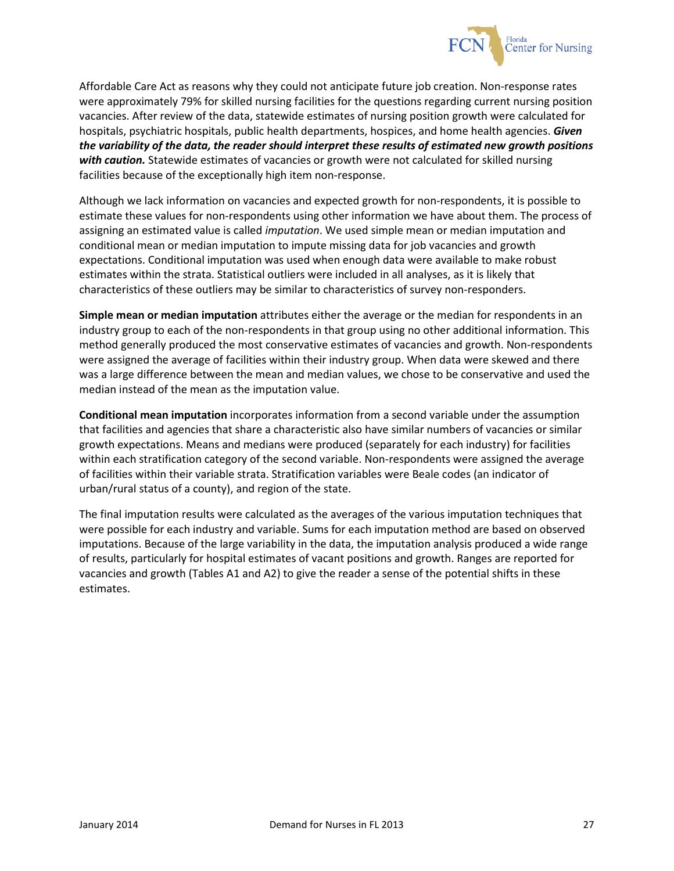![](_page_27_Picture_0.jpeg)

Affordable Care Act as reasons why they could not anticipate future job creation. Non-response rates were approximately 79% for skilled nursing facilities for the questions regarding current nursing position vacancies. After review of the data, statewide estimates of nursing position growth were calculated for hospitals, psychiatric hospitals, public health departments, hospices, and home health agencies. *Given the variability of the data, the reader should interpret these results of estimated new growth positions with caution.* Statewide estimates of vacancies or growth were not calculated for skilled nursing facilities because of the exceptionally high item non-response.

Although we lack information on vacancies and expected growth for non-respondents, it is possible to estimate these values for non-respondents using other information we have about them. The process of assigning an estimated value is called *imputation*. We used simple mean or median imputation and conditional mean or median imputation to impute missing data for job vacancies and growth expectations. Conditional imputation was used when enough data were available to make robust estimates within the strata. Statistical outliers were included in all analyses, as it is likely that characteristics of these outliers may be similar to characteristics of survey non-responders.

**Simple mean or median imputation** attributes either the average or the median for respondents in an industry group to each of the non-respondents in that group using no other additional information. This method generally produced the most conservative estimates of vacancies and growth. Non-respondents were assigned the average of facilities within their industry group. When data were skewed and there was a large difference between the mean and median values, we chose to be conservative and used the median instead of the mean as the imputation value.

**Conditional mean imputation** incorporates information from a second variable under the assumption that facilities and agencies that share a characteristic also have similar numbers of vacancies or similar growth expectations. Means and medians were produced (separately for each industry) for facilities within each stratification category of the second variable. Non-respondents were assigned the average of facilities within their variable strata. Stratification variables were Beale codes (an indicator of urban/rural status of a county), and region of the state.

The final imputation results were calculated as the averages of the various imputation techniques that were possible for each industry and variable. Sums for each imputation method are based on observed imputations. Because of the large variability in the data, the imputation analysis produced a wide range of results, particularly for hospital estimates of vacant positions and growth. Ranges are reported for vacancies and growth (Tables A1 and A2) to give the reader a sense of the potential shifts in these estimates.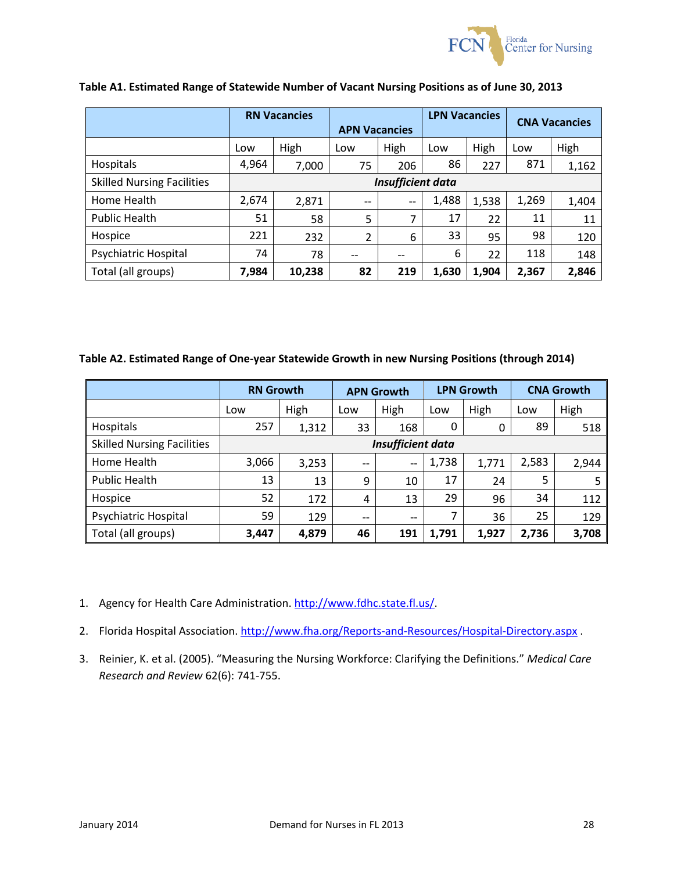![](_page_28_Picture_0.jpeg)

|                                   |                   | <b>RN Vacancies</b> | <b>APN Vacancies</b> |      | <b>LPN Vacancies</b> |       | <b>CNA Vacancies</b> |       |
|-----------------------------------|-------------------|---------------------|----------------------|------|----------------------|-------|----------------------|-------|
|                                   | Low               | High                | Low                  | High | Low                  | High  | Low                  | High  |
| Hospitals                         | 4,964             | 7,000               | 75                   | 206  | 86                   | 227   | 871                  | 1,162 |
| <b>Skilled Nursing Facilities</b> | Insufficient data |                     |                      |      |                      |       |                      |       |
| Home Health                       | 2,674             | 2,871               | $-$                  | --   | 1,488                | 1,538 | 1,269                | 1,404 |
| <b>Public Health</b>              | 51                | 58                  | 5                    | 7    | 17                   | 22    | 11                   | 11    |
| Hospice                           | 221               | 232                 | 2                    | 6    | 33                   | 95    | 98                   | 120   |
| Psychiatric Hospital              | 74                | 78                  | $-$                  | --   | 6                    | 22    | 118                  | 148   |
| Total (all groups)                | 7,984             | 10,238              | 82                   | 219  | 1,630                | 1,904 | 2,367                | 2,846 |

#### **Table A1. Estimated Range of Statewide Number of Vacant Nursing Positions as of June 30, 2013**

## **Table A2. Estimated Range of One-year Statewide Growth in new Nursing Positions (through 2014)**

|                                   | <b>RN Growth</b>         |       | <b>APN Growth</b> |             | <b>LPN Growth</b> |       | <b>CNA Growth</b> |       |
|-----------------------------------|--------------------------|-------|-------------------|-------------|-------------------|-------|-------------------|-------|
|                                   | Low                      | High  | Low               | <b>High</b> | Low               | High  | Low               | High  |
| Hospitals                         | 257                      | 1,312 | 33                | 168         | 0                 | 0     | 89                | 518   |
| <b>Skilled Nursing Facilities</b> | <b>Insufficient data</b> |       |                   |             |                   |       |                   |       |
| Home Health                       | 3,066                    | 3,253 | $- -$             | $-$         | 1,738             | 1,771 | 2,583             | 2,944 |
| <b>Public Health</b>              | 13                       | 13    | 9                 | 10          | 17                | 24    | 5                 | 5     |
| Hospice                           | 52                       | 172   | 4                 | 13          | 29                | 96    | 34                | 112   |
| Psychiatric Hospital              | 59                       | 129   | $- -$             | $- -$       |                   | 36    | 25                | 129   |
| Total (all groups)                | 3,447                    | 4,879 | 46                | 191         | 1,791             | 1,927 | 2,736             | 3,708 |

- 1. Agency for Health Care Administration. http://www.fdhc.state.fl.us/
- 2. Florida Hospital Association.<http://www.fha.org/Reports-and-Resources/Hospital-Directory.aspx> .
- 3. Reinier, K. et al. (2005). "Measuring the Nursing Workforce: Clarifying the Definitions." *Medical Care Research and Review* 62(6): 741-755.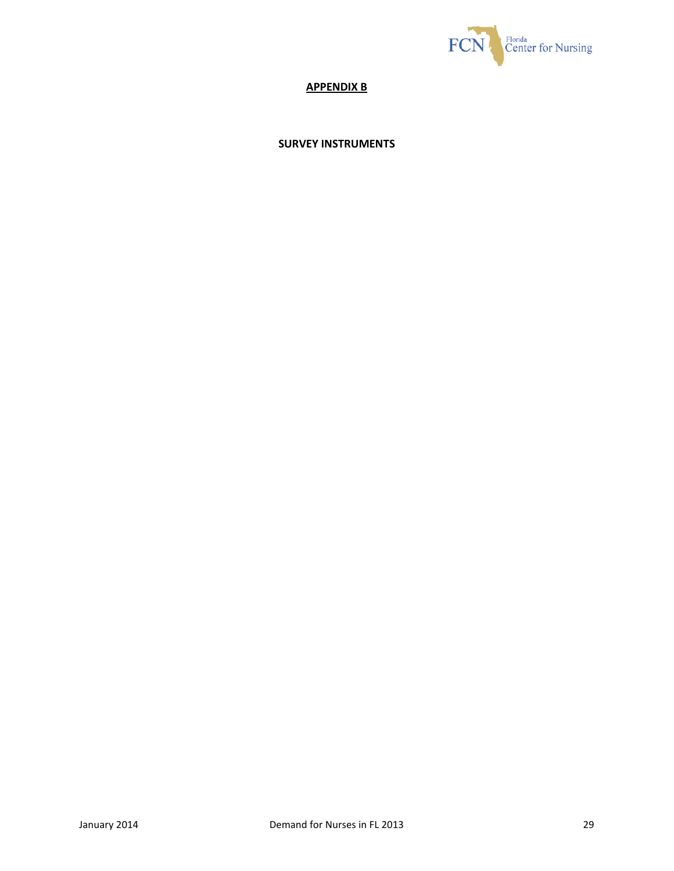![](_page_29_Picture_0.jpeg)

# **APPENDIX B**

## **SURVEY INSTRUMENTS**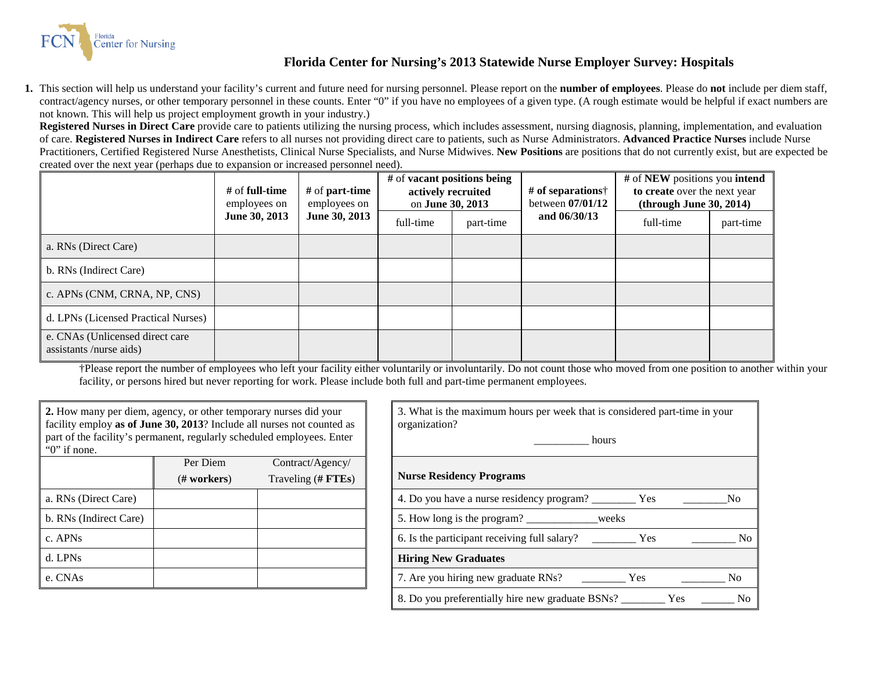![](_page_30_Picture_0.jpeg)

## **Florida Center for Nursing's 2013 Statewide Nurse Employer Survey: Hospitals**

**1.** This section will help us understand your facility's current and future need for nursing personnel. Please report on the **number of employees**. Please do **not** include per diem staff, contract/agency nurses, or other temporary personnel in these counts. Enter "0" if you have no employees of a given type. (A rough estimate would be helpful if exact numbers are not known. This will help us project employment growth in your industry.)

**Registered Nurses in Direct Care** provide care to patients utilizing the nursing process, which includes assessment, nursing diagnosis, planning, implementation, and evaluation of care. **Registered Nurses in Indirect Care** refers to all nurses not providing direct care to patients, such as Nurse Administrators. **Advanced Practice Nurses** include Nurse Practitioners, Certified Registered Nurse Anesthetists, Clinical Nurse Specialists, and Nurse Midwives. **New Positions** are positions that do not currently exist, but are expected be created over the next year (perhaps due to expansion or increased personnel need).

|                                                           | # of <b>full-time</b><br>employees on | # of <b>part-time</b><br>employees on | # of <b>vacant</b> positions being<br>actively recruited<br>on June 30, 2013 |           | # of separations<br>between $07/01/12$ | # of NEW positions you intend<br>to create over the next year<br>(throught June 30, 2014) |           |
|-----------------------------------------------------------|---------------------------------------|---------------------------------------|------------------------------------------------------------------------------|-----------|----------------------------------------|-------------------------------------------------------------------------------------------|-----------|
|                                                           | June 30, 2013                         | June 30, 2013                         | full-time                                                                    | part-time | and $06/30/13$                         | full-time                                                                                 | part-time |
| a. RNs (Direct Care)                                      |                                       |                                       |                                                                              |           |                                        |                                                                                           |           |
| b. RNs (Indirect Care)                                    |                                       |                                       |                                                                              |           |                                        |                                                                                           |           |
| c. APNs (CNM, CRNA, NP, CNS)                              |                                       |                                       |                                                                              |           |                                        |                                                                                           |           |
| d. LPNs (Licensed Practical Nurses)                       |                                       |                                       |                                                                              |           |                                        |                                                                                           |           |
| e. CNAs (Unlicensed direct care<br>assistants/nurse aids) |                                       |                                       |                                                                              |           |                                        |                                                                                           |           |

†Please report the number of employees who left your facility either voluntarily or involuntarily. Do not count those who moved from one position to another within your facility, or persons hired but never reporting for work. Please include both full and part-time permanent employees.

| 2. How many per diem, agency, or other temporary nurses did your<br>facility employ as of June 30, 2013? Include all nurses not counted as |          |                    | 3. What is the maximum hours per week that is con-<br>organization? |
|--------------------------------------------------------------------------------------------------------------------------------------------|----------|--------------------|---------------------------------------------------------------------|
| part of the facility's permanent, regularly scheduled employees. Enter<br>" $0$ " if none.                                                 |          |                    | hours                                                               |
|                                                                                                                                            | Per Diem | Contract/Agency/   |                                                                     |
|                                                                                                                                            | # works  | Traveling (# FTEs) | <b>Nurse Residency Programs</b>                                     |
| a. RNs (Direct Care)                                                                                                                       |          |                    | 4. Do you have a nurse residency program?                           |
| b. RNs (Indirect Care)                                                                                                                     |          |                    | 5. How long is the program? ________________weeks                   |
| c. APN <sub>s</sub>                                                                                                                        |          |                    | 6. Is the participant receiving full salary?                        |
| d. LPNs                                                                                                                                    |          |                    | <b>Hiring New Graduates</b>                                         |
| e. CNAs                                                                                                                                    |          |                    | 7. Are you hiring new graduate RNs?                                 |

| 2. How many per diem, agency, or other temporary nurses did your<br>facility employ as of June 30, 2013? Include all nurses not counted as<br>part of the facility's permanent, regularly scheduled employees. Enter<br>" $0$ " if none. |               |                    | 3. What is the maximum hours per week that is considered part-time in your<br>organization?<br>hours |
|------------------------------------------------------------------------------------------------------------------------------------------------------------------------------------------------------------------------------------------|---------------|--------------------|------------------------------------------------------------------------------------------------------|
|                                                                                                                                                                                                                                          | Per Diem      | Contract/Agency/   | <b>Nurse Residency Programs</b>                                                                      |
|                                                                                                                                                                                                                                          | $(H$ workers) | Traveling (# FTEs) |                                                                                                      |
| a. RNs (Direct Care)                                                                                                                                                                                                                     |               |                    | 4. Do you have a nurse residency program? ___________ Yes<br>N <sub>0</sub>                          |
| b. RNs (Indirect Care)                                                                                                                                                                                                                   |               |                    | 5. How long is the program? ______________weeks                                                      |
| c. APNs                                                                                                                                                                                                                                  |               |                    | $N_{\rm O}$                                                                                          |
| d. LPNs                                                                                                                                                                                                                                  |               |                    | <b>Hiring New Graduates</b>                                                                          |
| e. CNAs                                                                                                                                                                                                                                  |               |                    | N <sub>0</sub>                                                                                       |
|                                                                                                                                                                                                                                          |               |                    | No.                                                                                                  |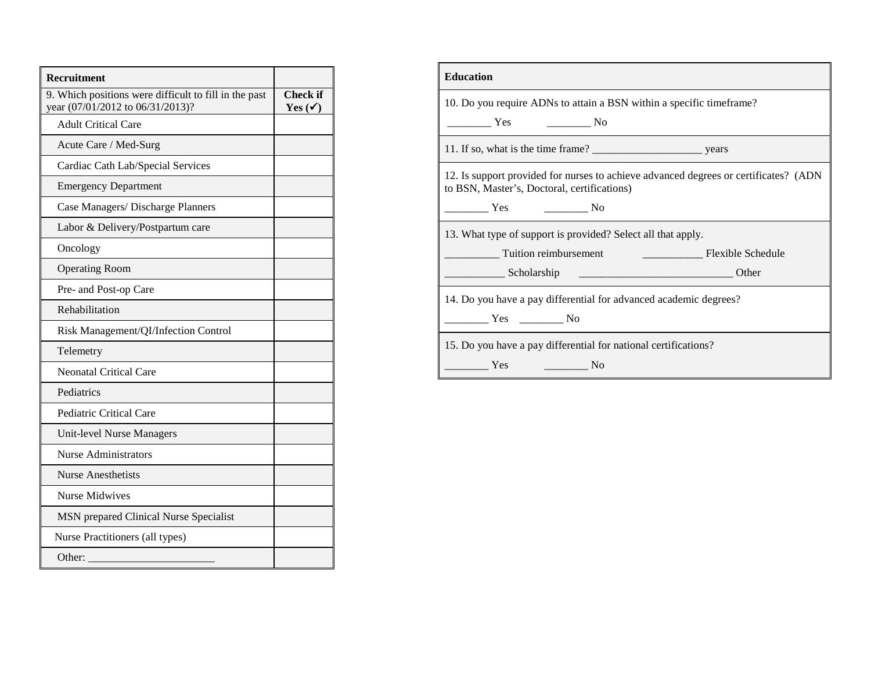| Recruitment                                                                               |                                |
|-------------------------------------------------------------------------------------------|--------------------------------|
| 9. Which positions were difficult to fill in the past<br>year (07/01/2012 to 06/31/2013)? | Check if<br>Yes $(\checkmark)$ |
| <b>Adult Critical Care</b>                                                                |                                |
| Acute Care / Med-Surg                                                                     |                                |
| Cardiac Cath Lab/Special Services                                                         |                                |
| <b>Emergency Department</b>                                                               |                                |
| Case Managers/ Discharge Planners                                                         |                                |
| Labor & Delivery/Postpartum care                                                          |                                |
| Oncology                                                                                  |                                |
| <b>Operating Room</b>                                                                     |                                |
| Pre- and Post-op Care                                                                     |                                |
| Rehabilitation                                                                            |                                |
| Risk Management/QI/Infection Control                                                      |                                |
| Telemetry                                                                                 |                                |
| <b>Neonatal Critical Care</b>                                                             |                                |
| Pediatrics                                                                                |                                |
| Pediatric Critical Care                                                                   |                                |
| Unit-level Nurse Managers                                                                 |                                |
| <b>Nurse Administrators</b>                                                               |                                |
| <b>Nurse Anesthetists</b>                                                                 |                                |
| <b>Nurse Midwives</b>                                                                     |                                |
| MSN prepared Clinical Nurse Specialist                                                    |                                |
| Nurse Practitioners (all types)                                                           |                                |
| Other:                                                                                    |                                |

| <b>Education</b>                                                                                                                                                   |
|--------------------------------------------------------------------------------------------------------------------------------------------------------------------|
| 10. Do you require ADNs to attain a BSN within a specific time frame?                                                                                              |
| $\frac{1}{\sqrt{1-\frac{1}{2}}}\text{No}$<br><b>The Set of Set of Set of Set of Set of Set of Set of Set of Set of Set of Set of Set of Set of Set of Set of S</b> |
|                                                                                                                                                                    |
| 12. Is support provided for nurses to achieve advanced degrees or certificates? (ADN)<br>to BSN, Master's, Doctoral, certifications)                               |
| $\sim$ No<br><b>The Set of Set of Set of Set of Set of Set of Set of Set of Set of Set of Set of Set of Set of Set of Set of S</b>                                 |
| 13. What type of support is provided? Select all that apply.                                                                                                       |
|                                                                                                                                                                    |
|                                                                                                                                                                    |
| 14. Do you have a pay differential for advanced academic degrees?                                                                                                  |
| No Nes                                                                                                                                                             |
| 15. Do you have a pay differential for national certifications?                                                                                                    |
| Yes<br>$\sim$ No                                                                                                                                                   |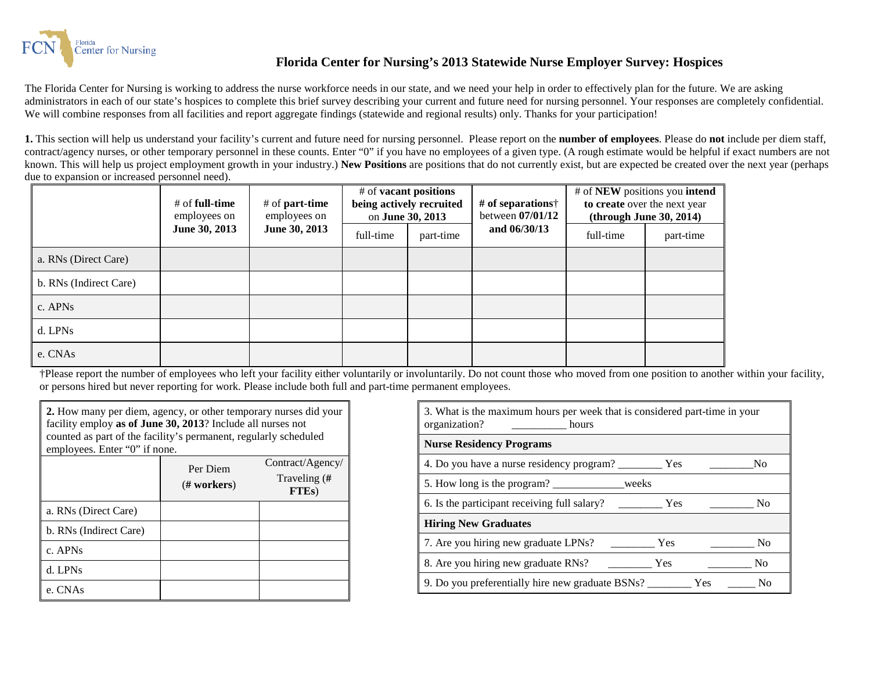![](_page_32_Picture_0.jpeg)

## **Florida Center for Nursing's 2013 Statewide Nurse Employer Survey: Hospices**

The Florida Center for Nursing is working to address the nurse workforce needs in our state, and we need your help in order to effectively plan for the future. We are asking administrators in each of our state's hospices to complete this brief survey describing your current and future need for nursing personnel. Your responses are completely confidential. We will combine responses from all facilities and report aggregate findings (statewide and regional results) only. Thanks for your participation!

**1.** This section will help us understand your facility's current and future need for nursing personnel. Please report on the **number of employees**. Please do **not** include per diem staff, contract/agency nurses, or other temporary personnel in these counts. Enter "0" if you have no employees of a given type. (A rough estimate would be helpful if exact numbers are not known. This will help us project employment growth in your industry.) **New Positions** are positions that do not currently exist, but are expected be created over the next year (perhaps due to expansion or increased personnel need).

|                        | # of <b>full-time</b><br>employees on | # of <b>part-time</b><br>employees on | # of <b>vacant</b> positions<br>being actively recruited<br>on June 30, 2013 |           | # of separations $\dagger$<br>between 07/01/12 |           | # of NEW positions you intend<br>to create over the next year<br>(throught June 30, 2014) |
|------------------------|---------------------------------------|---------------------------------------|------------------------------------------------------------------------------|-----------|------------------------------------------------|-----------|-------------------------------------------------------------------------------------------|
|                        | June 30, 2013                         | June 30, 2013                         | full-time                                                                    | part-time | and 06/30/13                                   | full-time | part-time                                                                                 |
| a. RNs (Direct Care)   |                                       |                                       |                                                                              |           |                                                |           |                                                                                           |
| b. RNs (Indirect Care) |                                       |                                       |                                                                              |           |                                                |           |                                                                                           |
| c. APNs                |                                       |                                       |                                                                              |           |                                                |           |                                                                                           |
| d. LPNs                |                                       |                                       |                                                                              |           |                                                |           |                                                                                           |
| e. CNAs                |                                       |                                       |                                                                              |           |                                                |           |                                                                                           |

†Please report the number of employees who left your facility either voluntarily or involuntarily. Do not count those who moved from one position to another within your facility, or persons hired but never reporting for work. Please include both full and part-time permanent employees.

| <b>2.</b> How many per diem, agency, or other temporary nurses did your<br>facility employ as of June 30, 2013? Include all nurses not<br>counted as part of the facility's permanent, regularly scheduled<br>employees. Enter "0" if none. |                        |                                    |  |  |  |
|---------------------------------------------------------------------------------------------------------------------------------------------------------------------------------------------------------------------------------------------|------------------------|------------------------------------|--|--|--|
|                                                                                                                                                                                                                                             | Per Diem               | Contract/Agency/                   |  |  |  |
|                                                                                                                                                                                                                                             | $(\# \text{ workers})$ | Traveling (#<br>FTE <sub>s</sub> ) |  |  |  |
| a. RNs (Direct Care)                                                                                                                                                                                                                        |                        |                                    |  |  |  |
| b. RNs (Indirect Care)                                                                                                                                                                                                                      |                        |                                    |  |  |  |
| c. APNs                                                                                                                                                                                                                                     |                        |                                    |  |  |  |
| d. LPNs                                                                                                                                                                                                                                     |                        |                                    |  |  |  |
| e. CNAs                                                                                                                                                                                                                                     |                        |                                    |  |  |  |

| 3. What is the maximum hours per week that is considered part-time in your<br>organization?<br>hours |                                                                                                                                                                                                                                                       |
|------------------------------------------------------------------------------------------------------|-------------------------------------------------------------------------------------------------------------------------------------------------------------------------------------------------------------------------------------------------------|
| <b>Nurse Residency Programs</b>                                                                      |                                                                                                                                                                                                                                                       |
| 4. Do you have a nurse residency program? __________ Yes                                             | No                                                                                                                                                                                                                                                    |
| 5. How long is the program? __________________weeks                                                  |                                                                                                                                                                                                                                                       |
|                                                                                                      | N <sub>0</sub>                                                                                                                                                                                                                                        |
| <b>Hiring New Graduates</b>                                                                          |                                                                                                                                                                                                                                                       |
| 7. Are you hiring new graduate LPNs?                                                                 | <b>The Second Second</b> Second Second Second Second Second Second Second Second Second Second Second Second Second Second Second Second Second Second Second Second Second Second Second Second Second Second Second Second Second<br>N <sub>0</sub> |
| 8. Are you hiring new graduate RNs?                                                                  | <b>Yes</b><br>N <sub>0</sub>                                                                                                                                                                                                                          |
| 9. Do you preferentially hire new graduate BSNs?                                                     | Yes<br>Nο                                                                                                                                                                                                                                             |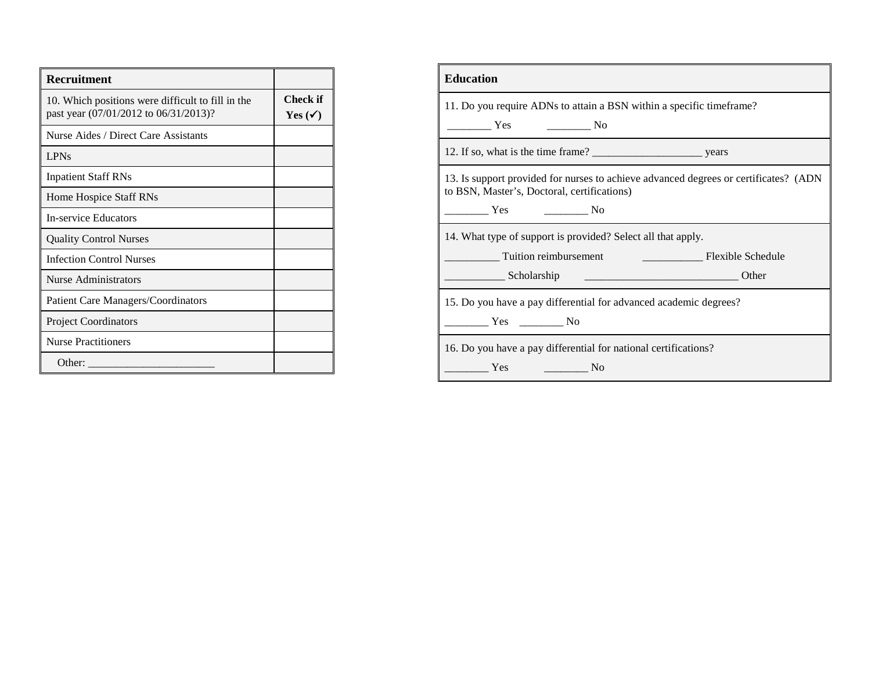| <b>Recruitment</b>                                                                         |                                |
|--------------------------------------------------------------------------------------------|--------------------------------|
| 10. Which positions were difficult to fill in the<br>past year (07/01/2012 to 06/31/2013)? | Check if<br>Yes $(\checkmark)$ |
| Nurse Aides / Direct Care Assistants                                                       |                                |
| <b>LPNs</b>                                                                                |                                |
| <b>Inpatient Staff RNs</b>                                                                 |                                |
| Home Hospice Staff RNs                                                                     |                                |
| <b>In-service Educators</b>                                                                |                                |
| <b>Quality Control Nurses</b>                                                              |                                |
| <b>Infection Control Nurses</b>                                                            |                                |
| Nurse Administrators                                                                       |                                |
| <b>Patient Care Managers/Coordinators</b>                                                  |                                |
| <b>Project Coordinators</b>                                                                |                                |
| <b>Nurse Practitioners</b>                                                                 |                                |
| Other:                                                                                     |                                |

| <b>Education</b>                                                                                                                     |
|--------------------------------------------------------------------------------------------------------------------------------------|
| 11. Do you require ADNs to attain a BSN within a specific time frame?                                                                |
| $\overline{\phantom{a}}$ No<br>Yes                                                                                                   |
|                                                                                                                                      |
| 13. Is support provided for nurses to achieve advanced degrees or certificates? (ADN)<br>to BSN, Master's, Doctoral, certifications) |
| <b>Solution</b> Yes<br>$\sim$ No                                                                                                     |
| 14. What type of support is provided? Select all that apply.                                                                         |
| Tuition reimbursement<br><b>Example 2016</b> Flexible Schedule                                                                       |
| Scholarship<br>Other                                                                                                                 |
| 15. Do you have a pay differential for advanced academic degrees?                                                                    |
| Yes No                                                                                                                               |
| 16. Do you have a pay differential for national certifications?                                                                      |
| Yes<br>N <sub>0</sub>                                                                                                                |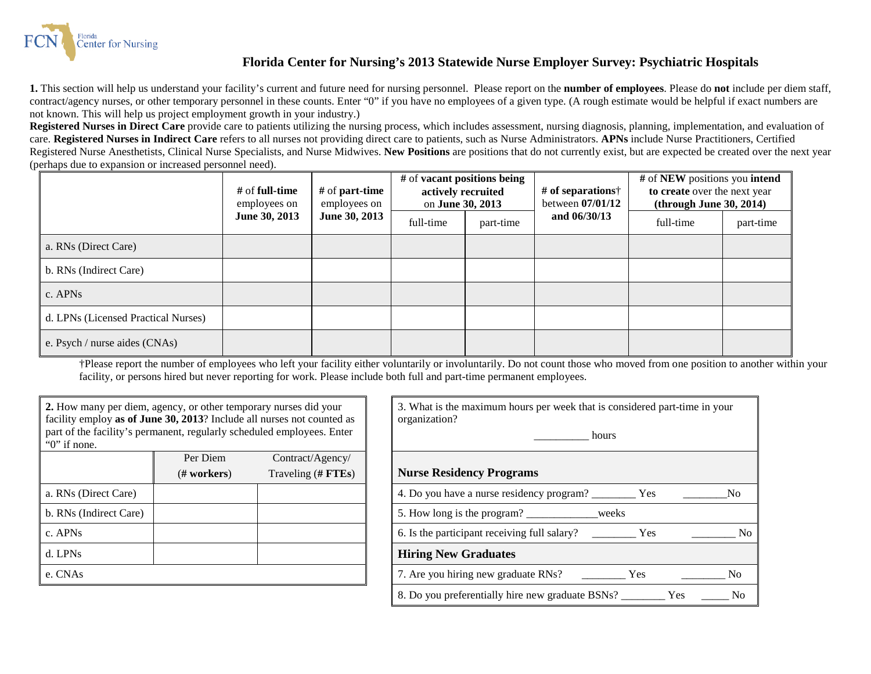![](_page_34_Picture_0.jpeg)

## **Florida Center for Nursing's 2013 Statewide Nurse Employer Survey: Psychiatric Hospitals**

**1.** This section will help us understand your facility's current and future need for nursing personnel. Please report on the **number of employees**. Please do **not** include per diem staff, contract/agency nurses, or other temporary personnel in these counts. Enter "0" if you have no employees of a given type. (A rough estimate would be helpful if exact numbers are not known. This will help us project employment growth in your industry.)

**Registered Nurses in Direct Care** provide care to patients utilizing the nursing process, which includes assessment, nursing diagnosis, planning, implementation, and evaluation of care. **Registered Nurses in Indirect Care** refers to all nurses not providing direct care to patients, such as Nurse Administrators. **APNs** include Nurse Practitioners, Certified Registered Nurse Anesthetists, Clinical Nurse Specialists, and Nurse Midwives. **New Positions** are positions that do not currently exist, but are expected be created over the next year (perhaps due to expansion or increased personnel need).

|                                     | # of <b>full-time</b><br>employees on | # of <b>part-time</b><br>employees on<br>June 30, 2013 | # of <b>vacant</b> positions being<br>actively recruited<br>on June 30, 2013 |           | # of separations $\dagger$<br>between $07/01/12$ | # of NEW positions you intend<br>to create over the next year<br>(throught June 30, 2014) |           |
|-------------------------------------|---------------------------------------|--------------------------------------------------------|------------------------------------------------------------------------------|-----------|--------------------------------------------------|-------------------------------------------------------------------------------------------|-----------|
|                                     | June 30, 2013                         |                                                        | full-time                                                                    | part-time | and $06/30/13$                                   | full-time                                                                                 | part-time |
| a. RNs (Direct Care)                |                                       |                                                        |                                                                              |           |                                                  |                                                                                           |           |
| b. RNs (Indirect Care)              |                                       |                                                        |                                                                              |           |                                                  |                                                                                           |           |
| c. APNs                             |                                       |                                                        |                                                                              |           |                                                  |                                                                                           |           |
| d. LPNs (Licensed Practical Nurses) |                                       |                                                        |                                                                              |           |                                                  |                                                                                           |           |
| e. Psych / nurse aides (CNAs)       |                                       |                                                        |                                                                              |           |                                                  |                                                                                           |           |

†Please report the number of employees who left your facility either voluntarily or involuntarily. Do not count those who moved from one position to another within your facility, or persons hired but never reporting for work. Please include both full and part-time permanent employees.

| 2. How many per diem, agency, or other temporary nurses did your<br>facility employ as of June 30, 2013? Include all nurses not counted as |          |                    | 3. What is the maximum hours per week that is con<br>organization? |  |  |
|--------------------------------------------------------------------------------------------------------------------------------------------|----------|--------------------|--------------------------------------------------------------------|--|--|
| part of the facility's permanent, regularly scheduled employees. Enter<br>" $0$ " if none.                                                 |          |                    | hours                                                              |  |  |
|                                                                                                                                            | Per Diem | $Contract/A$ gency |                                                                    |  |  |
|                                                                                                                                            | # works  | Traveling (# FTEs) | <b>Nurse Residency Programs</b>                                    |  |  |
| a. RNs (Direct Care)                                                                                                                       |          |                    | 4. Do you have a nurse residency program?                          |  |  |
| b. RNs (Indirect Care)                                                                                                                     |          |                    | 5. How long is the program?<br>weeks                               |  |  |
| c. APNs                                                                                                                                    |          |                    | 6. Is the participant receiving full salary?                       |  |  |
| d. LPNs                                                                                                                                    |          |                    | <b>Hiring New Graduates</b>                                        |  |  |
| e. CNAs                                                                                                                                    |          |                    | 7. Are you hiring new graduate RNs?                                |  |  |
|                                                                                                                                            |          |                    |                                                                    |  |  |

| 2. How many per diem, agency, or other temporary nurses did your<br>facility employ as of June 30, 2013? Include all nurses not counted as<br>part of the facility's permanent, regularly scheduled employees. Enter<br>" $0$ " if none. |               |                    | 3. What is the maximum hours per week that is considered part-time in your<br>organization?<br>hours |  |  |
|------------------------------------------------------------------------------------------------------------------------------------------------------------------------------------------------------------------------------------------|---------------|--------------------|------------------------------------------------------------------------------------------------------|--|--|
|                                                                                                                                                                                                                                          | Per Diem      | Contract/Agency/   |                                                                                                      |  |  |
|                                                                                                                                                                                                                                          | $(H$ workers) | Traveling (# FTEs) | <b>Nurse Residency Programs</b>                                                                      |  |  |
| a. RNs (Direct Care)                                                                                                                                                                                                                     |               |                    | 4. Do you have a nurse residency program? ___________ Yes<br>N <sub>o</sub>                          |  |  |
| b. RNs (Indirect Care)                                                                                                                                                                                                                   |               |                    | 5. How long is the program? _____________weeks                                                       |  |  |
| c. APNs                                                                                                                                                                                                                                  |               |                    | N <sub>o</sub>                                                                                       |  |  |
| d. LPNs                                                                                                                                                                                                                                  |               |                    | <b>Hiring New Graduates</b>                                                                          |  |  |
| e. CNAs                                                                                                                                                                                                                                  |               |                    | N <sub>0</sub>                                                                                       |  |  |
|                                                                                                                                                                                                                                          |               |                    | N <sub>0</sub>                                                                                       |  |  |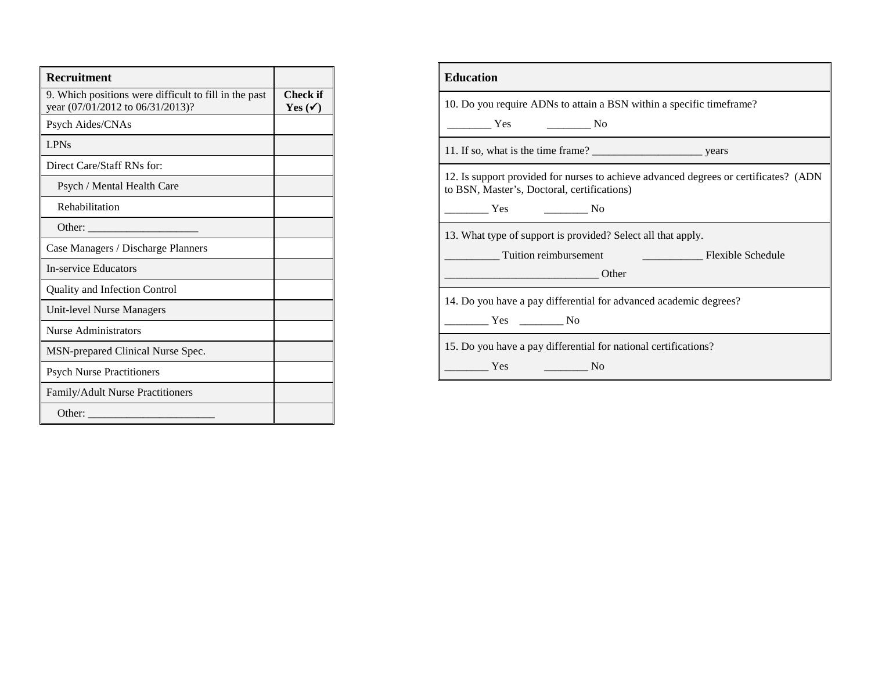| <b>Recruitment</b>                                                                        |                                |
|-------------------------------------------------------------------------------------------|--------------------------------|
| 9. Which positions were difficult to fill in the past<br>year (07/01/2012 to 06/31/2013)? | Check if<br>Yes $(\checkmark)$ |
| Psych Aides/CNAs                                                                          |                                |
| <b>LPNs</b>                                                                               |                                |
| Direct Care/Staff RNs for:                                                                |                                |
| Psych / Mental Health Care                                                                |                                |
| Rehabilitation                                                                            |                                |
| Other:                                                                                    |                                |
| Case Managers / Discharge Planners                                                        |                                |
| <b>In-service Educators</b>                                                               |                                |
| Quality and Infection Control                                                             |                                |
| <b>Unit-level Nurse Managers</b>                                                          |                                |
| Nurse Administrators                                                                      |                                |
| MSN-prepared Clinical Nurse Spec.                                                         |                                |
| <b>Psych Nurse Practitioners</b>                                                          |                                |
| Family/Adult Nurse Practitioners                                                          |                                |
| Other:                                                                                    |                                |

| <b>Education</b>                                                                                                                     |
|--------------------------------------------------------------------------------------------------------------------------------------|
| 10. Do you require ADNs to attain a BSN within a specific timeframe?                                                                 |
| $\overline{\phantom{a}}$ Yes<br>$\frac{1}{\sqrt{1-\frac{1}{2}}}\text{No}$                                                            |
|                                                                                                                                      |
| 12. Is support provided for nurses to achieve advanced degrees or certificates? (ADN)<br>to BSN, Master's, Doctoral, certifications) |
| Yes<br>$\frac{1}{\sqrt{1-\frac{1}{2}}}\text{No}$                                                                                     |
| 13. What type of support is provided? Select all that apply.                                                                         |
| Tuition reimbursement<br><b>Example 2018</b> Flexible Schedule                                                                       |
| <b>Example 1</b> Other                                                                                                               |
| 14. Do you have a pay differential for advanced academic degrees?                                                                    |
| $Yes$ No                                                                                                                             |
| 15. Do you have a pay differential for national certifications?                                                                      |
| Yes<br>N <sub>0</sub>                                                                                                                |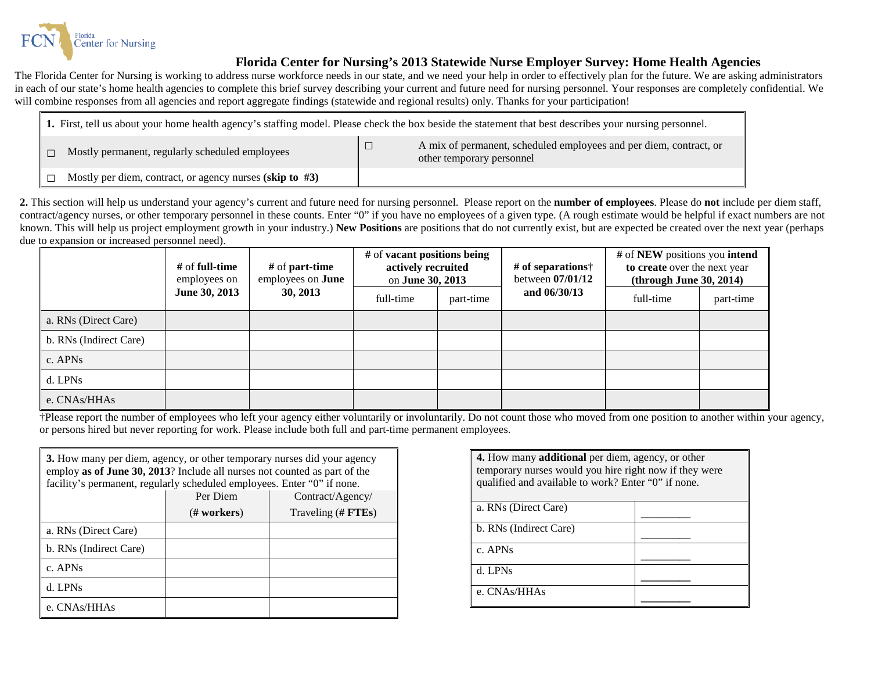![](_page_36_Picture_0.jpeg)

## **Florida Center for Nursing's 2013 Statewide Nurse Employer Survey: Home Health Agencies**

The Florida Center for Nursing is working to address nurse workforce needs in our state, and we need your help in order to effectively plan for the future. We are asking administrators in each of our state's home health agencies to complete this brief survey describing your current and future need for nursing personnel. Your responses are completely confidential. We will combine responses from all agencies and report aggregate findings (statewide and regional results) only. Thanks for your participation!

| 1. First, tell us about your home health agency's staffing model. Please check the box beside the statement that best describes your nursing personnel. |  |                                                                                                 |  |  |
|---------------------------------------------------------------------------------------------------------------------------------------------------------|--|-------------------------------------------------------------------------------------------------|--|--|
| Mostly permanent, regularly scheduled employees                                                                                                         |  | A mix of permanent, scheduled employees and per diem, contract, or<br>other temporary personnel |  |  |
| Mostly per diem, contract, or agency nurses (skip to $#3$ )                                                                                             |  |                                                                                                 |  |  |

**2.** This section will help us understand your agency's current and future need for nursing personnel. Please report on the **number of employees**. Please do **not** include per diem staff, contract/agency nurses, or other temporary personnel in these counts. Enter "0" if you have no employees of a given type. (A rough estimate would be helpful if exact numbers are not known. This will help us project employment growth in your industry.) **New Positions** are positions that do not currently exist, but are expected be created over the next year (perhaps due to expansion or increased personnel need).

|                        | # of <b>full-time</b><br>employees on | $#$ of part-time<br>employees on <b>June</b> | # of vacant positions being<br>actively recruited<br>on June 30, 2013 |           | # of separations $\dagger$<br>between 07/01/12 | # of NEW positions you intend<br>to create over the next year<br>(throught June 30, 2014) |           |
|------------------------|---------------------------------------|----------------------------------------------|-----------------------------------------------------------------------|-----------|------------------------------------------------|-------------------------------------------------------------------------------------------|-----------|
|                        | June 30, 2013                         | 30, 2013                                     | full-time                                                             | part-time | and $06/30/13$                                 | full-time                                                                                 | part-time |
| a. RNs (Direct Care)   |                                       |                                              |                                                                       |           |                                                |                                                                                           |           |
| b. RNs (Indirect Care) |                                       |                                              |                                                                       |           |                                                |                                                                                           |           |
| c. APNs                |                                       |                                              |                                                                       |           |                                                |                                                                                           |           |
| d. LPNs                |                                       |                                              |                                                                       |           |                                                |                                                                                           |           |
| e. CNAs/HHAs           |                                       |                                              |                                                                       |           |                                                |                                                                                           |           |

†Please report the number of employees who left your agency either voluntarily or involuntarily. Do not count those who moved from one position to another within your agency, or persons hired but never reporting for work. Please include both full and part-time permanent employees.

| 3. How many per diem, agency, or other temporary nurses did your agency<br>employ as of June 30, 2013? Include all nurses not counted as part of the<br>facility's permanent, regularly scheduled employees. Enter "0" if none. |             |                    |  |  |  |  |  |
|---------------------------------------------------------------------------------------------------------------------------------------------------------------------------------------------------------------------------------|-------------|--------------------|--|--|--|--|--|
| Per Diem<br>Contract/Agency/                                                                                                                                                                                                    |             |                    |  |  |  |  |  |
|                                                                                                                                                                                                                                 | (# workers) | Traveling (# FTEs) |  |  |  |  |  |
| a. RNs (Direct Care)                                                                                                                                                                                                            |             |                    |  |  |  |  |  |
| b. RNs (Indirect Care)                                                                                                                                                                                                          |             |                    |  |  |  |  |  |
| $c.$ APNs                                                                                                                                                                                                                       |             |                    |  |  |  |  |  |
| d. LPNs                                                                                                                                                                                                                         |             |                    |  |  |  |  |  |
| e. CNAs/HHAs                                                                                                                                                                                                                    |             |                    |  |  |  |  |  |

| <b>4.</b> How many <b>additional</b> per diem, agency, or other<br>temporary nurses would you hire right now if they were<br>qualified and available to work? Enter "0" if none. |  |  |  |
|----------------------------------------------------------------------------------------------------------------------------------------------------------------------------------|--|--|--|
| a. RNs (Direct Care)                                                                                                                                                             |  |  |  |
| b. RNs (Indirect Care)                                                                                                                                                           |  |  |  |
| c. APNs                                                                                                                                                                          |  |  |  |
| d. LPNs                                                                                                                                                                          |  |  |  |
| e. CNAs/HHAs                                                                                                                                                                     |  |  |  |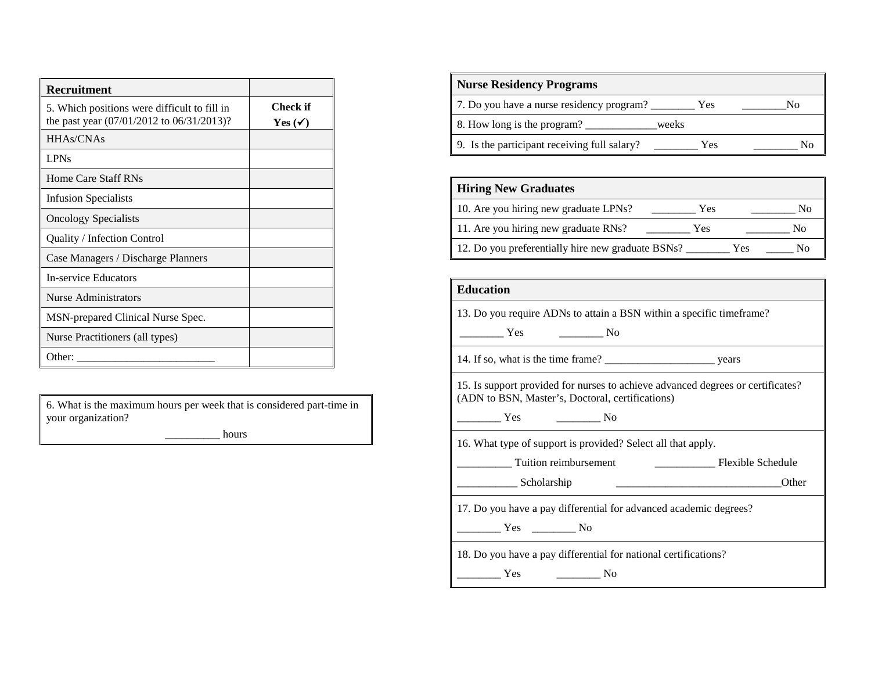| <b>Recruitment</b>                                                                        |                                |
|-------------------------------------------------------------------------------------------|--------------------------------|
| 5. Which positions were difficult to fill in<br>the past year (07/01/2012 to 06/31/2013)? | Check if<br>Yes ( $\checkmark$ |
| HHAs/CNAs                                                                                 |                                |
| <b>LPNs</b>                                                                               |                                |
| Home Care Staff RNs                                                                       |                                |
| Infusion Specialists                                                                      |                                |
| <b>Oncology Specialists</b>                                                               |                                |
| Quality / Infection Control                                                               |                                |
| Case Managers / Discharge Planners                                                        |                                |
| <b>In-service Educators</b>                                                               |                                |
| <b>Nurse Administrators</b>                                                               |                                |
| MSN-prepared Clinical Nurse Spec.                                                         |                                |
| Nurse Practitioners (all types)                                                           |                                |
| Other:                                                                                    |                                |

6. What is the maximum hours per week that is considered part-time in your organization?

hours

| <b>Nurse Residency Programs</b>              |       |    |
|----------------------------------------------|-------|----|
| 7. Do you have a nurse residency program?    | Yes   | Nο |
| 8. How long is the program?                  | weeks |    |
| 9. Is the participant receiving full salary? | Yes   | Nο |

# **Hiring New Graduates**

| 10. Are you hiring new graduate LPNs?             | Yes |     | No |
|---------------------------------------------------|-----|-----|----|
| 11. Are you hiring new graduate RNs?              | Yes |     | Nο |
| 12. Do you preferentially hire new graduate BSNs? |     | Yes | N٥ |

#### **Education**

13. Do you require ADNs to attain a BSN within a specific timeframe?

| $\sim$ |
|--------|
|--------|

14. If so, what is the time frame? \_\_\_\_\_\_\_\_\_\_\_\_\_\_\_\_\_\_\_\_ years

15. Is support provided for nurses to achieve advanced degrees or certificates? (ADN to BSN, Master's, Doctoral, certifications)

\_\_\_\_\_\_\_\_ Yes \_\_\_\_\_\_\_\_ No

16. What type of support is provided? Select all that apply.

| Tuition reimbursement | Flexible Schedule |
|-----------------------|-------------------|
|-----------------------|-------------------|

| المتابعة والمتابعة والمتارين<br>Scholarshin |  |  |
|---------------------------------------------|--|--|
|---------------------------------------------|--|--|

17. Do you have a pay differential for advanced academic degrees?

\_\_\_\_\_\_\_\_ Yes \_\_\_\_\_\_\_\_ No

18. Do you have a pay differential for national certifications?

\_\_\_\_\_\_\_\_ Yes \_\_\_\_\_\_\_\_ No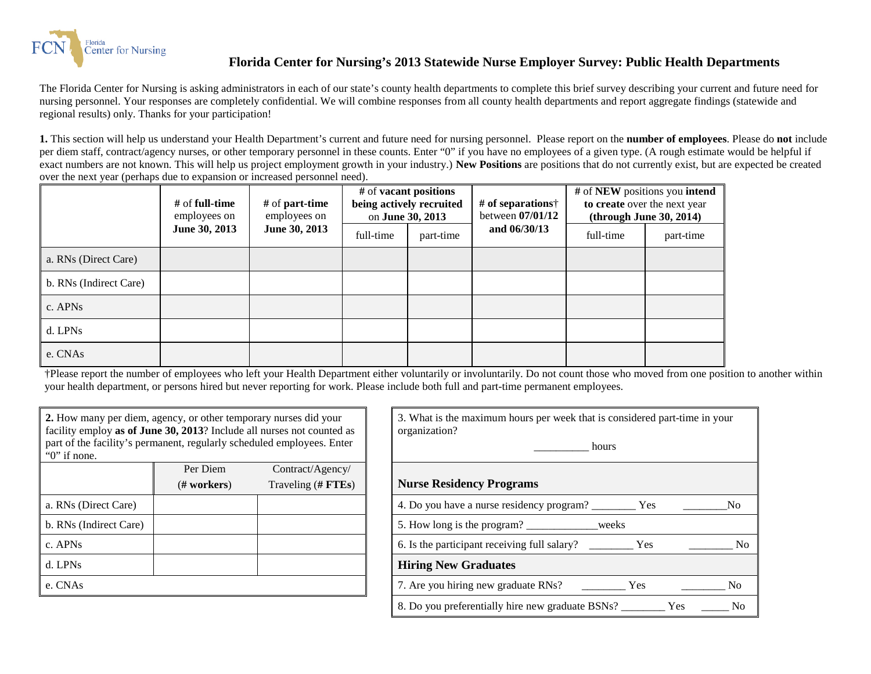![](_page_38_Picture_0.jpeg)

## **Florida Center for Nursing's 2013 Statewide Nurse Employer Survey: Public Health Departments**

The Florida Center for Nursing is asking administrators in each of our state's county health departments to complete this brief survey describing your current and future need for nursing personnel. Your responses are completely confidential. We will combine responses from all county health departments and report aggregate findings (statewide and regional results) only. Thanks for your participation!

**1.** This section will help us understand your Health Department's current and future need for nursing personnel. Please report on the **number of employees**. Please do **not** include per diem staff, contract/agency nurses, or other temporary personnel in these counts. Enter "0" if you have no employees of a given type. (A rough estimate would be helpful if exact numbers are not known. This will help us project employment growth in your industry.) **New Positions** are positions that do not currently exist, but are expected be created over the next year (perhaps due to expansion or increased personnel need).

|                        | # of full-time<br>employees on | # of part-time<br>employees on | # of <b>vacant</b> positions<br>being actively recruited<br>on June 30, 2013 |           | # of separations $\dagger$<br>between $07/01/12$ |           | # of NEW positions you intend<br>to create over the next year<br>(throught June 30, 2014) |
|------------------------|--------------------------------|--------------------------------|------------------------------------------------------------------------------|-----------|--------------------------------------------------|-----------|-------------------------------------------------------------------------------------------|
|                        | June 30, 2013                  | June 30, 2013                  | full-time                                                                    | part-time | and 06/30/13                                     | full-time | part-time                                                                                 |
| a. RNs (Direct Care)   |                                |                                |                                                                              |           |                                                  |           |                                                                                           |
| b. RNs (Indirect Care) |                                |                                |                                                                              |           |                                                  |           |                                                                                           |
| c. APNs                |                                |                                |                                                                              |           |                                                  |           |                                                                                           |
| d. LPNs                |                                |                                |                                                                              |           |                                                  |           |                                                                                           |
| e. CNAs                |                                |                                |                                                                              |           |                                                  |           |                                                                                           |

†Please report the number of employees who left your Health Department either voluntarily or involuntarily. Do not count those who moved from one position to another within your health department, or persons hired but never reporting for work. Please include both full and part-time permanent employees.

| N <sub>o</sub> |
|----------------|
|                |
| N <sub>0</sub> |
|                |
| N <sub>0</sub> |
|                |

| 3. What is the maximum hours per week that is considered part-time in your<br>organization? |  |  |  |  |
|---------------------------------------------------------------------------------------------|--|--|--|--|
| hours                                                                                       |  |  |  |  |
| <b>Nurse Residency Programs</b>                                                             |  |  |  |  |
| 4. Do you have a nurse residency program?<br>Nο<br>Yes                                      |  |  |  |  |
| 5. How long is the program?<br>weeks                                                        |  |  |  |  |
| 6. Is the participant receiving full salary?<br>No<br>Yes                                   |  |  |  |  |
| <b>Hiring New Graduates</b>                                                                 |  |  |  |  |
| 7. Are you hiring new graduate RNs?<br>Yes<br>N <sub>0</sub>                                |  |  |  |  |
| 8. Do you preferentially hire new graduate BSNs?<br><b>Yes</b><br>No                        |  |  |  |  |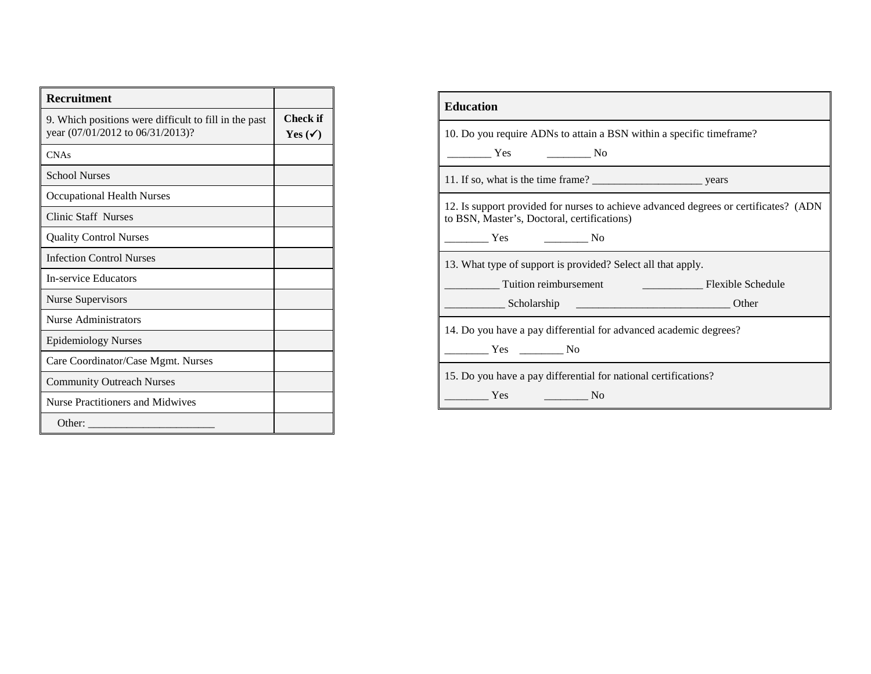| <b>Recruitment</b>                                                                        |                                |
|-------------------------------------------------------------------------------------------|--------------------------------|
| 9. Which positions were difficult to fill in the past<br>year (07/01/2012 to 06/31/2013)? | Check if<br>Yes $(\checkmark)$ |
| <b>CNAs</b>                                                                               |                                |
| <b>School Nurses</b>                                                                      |                                |
| <b>Occupational Health Nurses</b>                                                         |                                |
| <b>Clinic Staff Nurses</b>                                                                |                                |
| <b>Quality Control Nurses</b>                                                             |                                |
| <b>Infection Control Nurses</b>                                                           |                                |
| In-service Educators                                                                      |                                |
| <b>Nurse Supervisors</b>                                                                  |                                |
| Nurse Administrators                                                                      |                                |
| <b>Epidemiology Nurses</b>                                                                |                                |
| Care Coordinator/Case Mgmt. Nurses                                                        |                                |
| <b>Community Outreach Nurses</b>                                                          |                                |
| Nurse Practitioners and Midwives                                                          |                                |
| Other:                                                                                    |                                |

| <b>Education</b>                                                                                                                     |  |  |  |  |
|--------------------------------------------------------------------------------------------------------------------------------------|--|--|--|--|
| 10. Do you require ADNs to attain a BSN within a specific timeframe?                                                                 |  |  |  |  |
| <b>Exercise</b> Yes<br>$\frac{1}{\sqrt{1-\frac{1}{2}}}\text{No}$                                                                     |  |  |  |  |
|                                                                                                                                      |  |  |  |  |
| 12. Is support provided for nurses to achieve advanced degrees or certificates? (ADN)<br>to BSN, Master's, Doctoral, certifications) |  |  |  |  |
| $\sim$ No<br><b>Example 18</b>                                                                                                       |  |  |  |  |
| 13. What type of support is provided? Select all that apply.                                                                         |  |  |  |  |
| Tuition reimbursement<br>Flexible Schedule                                                                                           |  |  |  |  |
| Other<br><b>Scholarship</b>                                                                                                          |  |  |  |  |
| 14. Do you have a pay differential for advanced academic degrees?                                                                    |  |  |  |  |
| No Nes No                                                                                                                            |  |  |  |  |
| 15. Do you have a pay differential for national certifications?                                                                      |  |  |  |  |
| Yes<br>No                                                                                                                            |  |  |  |  |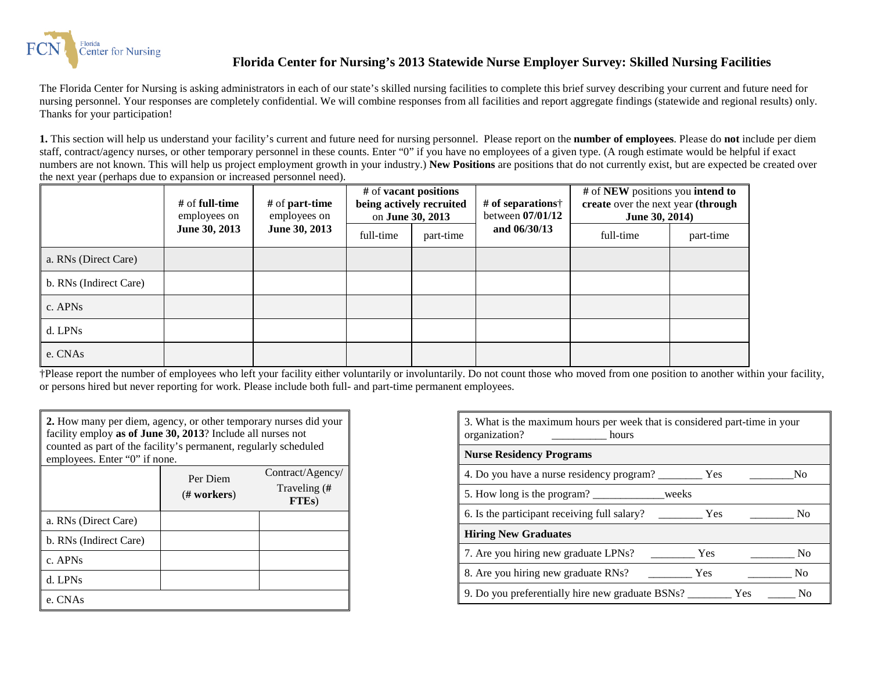![](_page_40_Picture_0.jpeg)

## **Florida Center for Nursing's 2013 Statewide Nurse Employer Survey: Skilled Nursing Facilities**

The Florida Center for Nursing is asking administrators in each of our state's skilled nursing facilities to complete this brief survey describing your current and future need for nursing personnel. Your responses are completely confidential. We will combine responses from all facilities and report aggregate findings (statewide and regional results) only. Thanks for your participation!

**1.** This section will help us understand your facility's current and future need for nursing personnel. Please report on the **number of employees**. Please do **not** include per diem staff, contract/agency nurses, or other temporary personnel in these counts. Enter "0" if you have no employees of a given type. (A rough estimate would be helpful if exact numbers are not known. This will help us project employment growth in your industry.) **New Positions** are positions that do not currently exist, but are expected be created over the next year (perhaps due to expansion or increased personnel need).

|                        | $#$ of full-time<br>employees on | # of <b>part-time</b><br>employees on | # of NEW positions you intend to<br># of <b>vacant</b> positions<br># of separations $\dagger$<br>create over the next year (through<br>being actively recruited<br>between $07/01/12$<br>on June 30, 2013<br>June 30, 2014) |           |                |           |           |
|------------------------|----------------------------------|---------------------------------------|------------------------------------------------------------------------------------------------------------------------------------------------------------------------------------------------------------------------------|-----------|----------------|-----------|-----------|
|                        | June 30, 2013                    | June 30, 2013                         | full-time                                                                                                                                                                                                                    | part-time | and $06/30/13$ | full-time | part-time |
| a. RNs (Direct Care)   |                                  |                                       |                                                                                                                                                                                                                              |           |                |           |           |
| b. RNs (Indirect Care) |                                  |                                       |                                                                                                                                                                                                                              |           |                |           |           |
| c. APN <sub>s</sub>    |                                  |                                       |                                                                                                                                                                                                                              |           |                |           |           |
| d. LPNs                |                                  |                                       |                                                                                                                                                                                                                              |           |                |           |           |
| e. CNAs                |                                  |                                       |                                                                                                                                                                                                                              |           |                |           |           |

†Please report the number of employees who left your facility either voluntarily or involuntarily. Do not count those who moved from one position to another within your facility, or persons hired but never reporting for work. Please include both full- and part-time permanent employees.

| 2. How many per diem, agency, or other temporary nurses did your<br>facility employ as of June 30, 2013? Include all nurses not<br>counted as part of the facility's permanent, regularly scheduled<br>employees. Enter "0" if none. |                              |                                    |  |  |  |  |
|--------------------------------------------------------------------------------------------------------------------------------------------------------------------------------------------------------------------------------------|------------------------------|------------------------------------|--|--|--|--|
|                                                                                                                                                                                                                                      | Contract/Agency/<br>Per Diem |                                    |  |  |  |  |
|                                                                                                                                                                                                                                      | # works                      | Traveling (#<br>FTE <sub>s</sub> ) |  |  |  |  |
| a. RNs (Direct Care)                                                                                                                                                                                                                 |                              |                                    |  |  |  |  |
| b. RNs (Indirect Care)                                                                                                                                                                                                               |                              |                                    |  |  |  |  |
| c. APNs                                                                                                                                                                                                                              |                              |                                    |  |  |  |  |
| d. LPNs                                                                                                                                                                                                                              |                              |                                    |  |  |  |  |
| e. CNAs                                                                                                                                                                                                                              |                              |                                    |  |  |  |  |

| 3. What is the maximum hours per week that is considered part-time in your<br>organization?<br>hours |     |     |                |  |
|------------------------------------------------------------------------------------------------------|-----|-----|----------------|--|
| <b>Nurse Residency Programs</b>                                                                      |     |     |                |  |
|                                                                                                      |     |     | N <sub>0</sub> |  |
| 5. How long is the program? __________________weeks                                                  |     |     |                |  |
| 6. Is the participant receiving full salary?                                                         | Yes |     | N <sub>0</sub> |  |
| <b>Hiring New Graduates</b>                                                                          |     |     |                |  |
| 7. Are you hiring new graduate LPNs?                                                                 | Yes |     | N <sub>0</sub> |  |
| 8. Are you hiring new graduate RNs?                                                                  | Yes |     | N <sub>0</sub> |  |
| 9. Do you preferentially hire new graduate BSNs? ______                                              |     | Yes | No             |  |